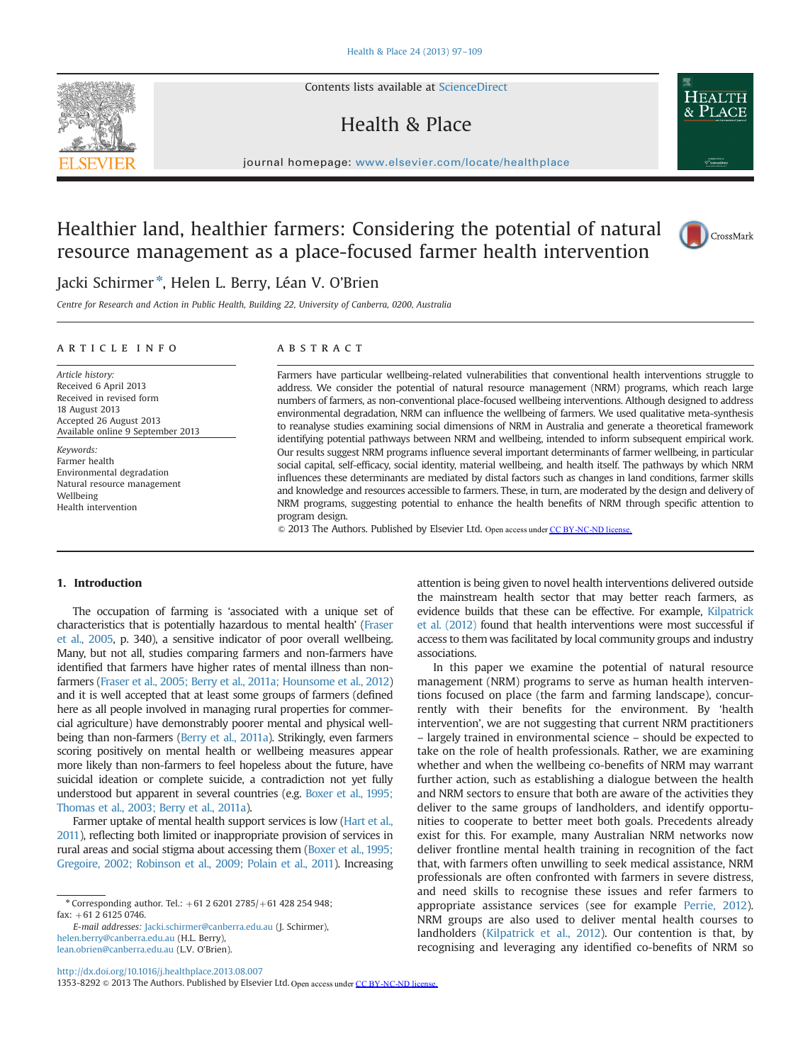Contents lists available at [ScienceDirect](www.sciencedirect.com/science/journal/13538292)

# Health & Place

journal homepage: <www.elsevier.com/locate/healthplace>

# Healthier land, healthier farmers: Considering the potential of natural resource management as a place-focused farmer health intervention



Centre for Research and Action in Public Health, Building 22, University of Canberra, 0200, Australia

## article info

Article history: Received 6 April 2013 Received in revised form 18 August 2013 Accepted 26 August 2013 Available online 9 September 2013

Keywords: Farmer health Environmental degradation Natural resource management Wellbeing Health intervention

## ABSTRACT

Farmers have particular wellbeing-related vulnerabilities that conventional health interventions struggle to address. We consider the potential of natural resource management (NRM) programs, which reach large numbers of farmers, as non-conventional place-focused wellbeing interventions. Although designed to address environmental degradation, NRM can influence the wellbeing of farmers. We used qualitative meta-synthesis to reanalyse studies examining social dimensions of NRM in Australia and generate a theoretical framework identifying potential pathways between NRM and wellbeing, intended to inform subsequent empirical work. Our results suggest NRM programs influence several important determinants of farmer wellbeing, in particular social capital, self-efficacy, social identity, material wellbeing, and health itself. The pathways by which NRM influences these determinants are mediated by distal factors such as changes in land conditions, farmer skills and knowledge and resources accessible to farmers. These, in turn, are moderated by the design and delivery of NRM programs, suggesting potential to enhance the health benefits of NRM through specific attention to program design.

 $© 2013$  The Authors. Published by Elsevier Ltd. Open access under [CC BY-NC-ND license.](http://creativecommons.org/licenses/by-nc-nd/3.0/)

## 1. Introduction

The occupation of farming is 'associated with a unique set of characteristics that is potentially hazardous to mental health' [\(Fraser](#page-11-0) [et al., 2005](#page-11-0), p. 340), a sensitive indicator of poor overall wellbeing. Many, but not all, studies comparing farmers and non-farmers have identified that farmers have higher rates of mental illness than nonfarmers [\(Fraser et al., 2005; Berry et al., 2011a; Hounsome et al., 2012\)](#page-11-0) and it is well accepted that at least some groups of farmers (defined here as all people involved in managing rural properties for commercial agriculture) have demonstrably poorer mental and physical wellbeing than non-farmers [\(Berry et al., 2011a](#page-10-0)). Strikingly, even farmers scoring positively on mental health or wellbeing measures appear more likely than non-farmers to feel hopeless about the future, have suicidal ideation or complete suicide, a contradiction not yet fully understood but apparent in several countries (e.g. [Boxer et al., 1995;](#page-10-0) [Thomas et al., 2003; Berry et al., 2011a\)](#page-10-0).

Farmer uptake of mental health support services is low [\(Hart et al.,](#page-11-0) [2011](#page-11-0)), reflecting both limited or inappropriate provision of services in rural areas and social stigma about accessing them [\(Boxer et al., 1995;](#page-10-0) [Gregoire, 2002; Robinson et al., 2009; Polain et al., 2011](#page-12-0)). Increasing

E-mail addresses: [Jacki.schirmer@canberra.edu.au](mailto:Jacki.schirmer@canberra.edu.au) (J. Schirmer), [helen.berry@canberra.edu.au](mailto:helen.berry@canberra.edu.au) (H.L. Berry), [lean.obrien@canberra.edu.au](mailto:lean.obrien@canberra.edu.au) (L.V. O'Brien).

<http://dx.doi.org/10.1016/j.healthplace.2013.08.007>

1353-8292 © 2013 The Authors. Published by Elsevier Ltd. Open access under [CC BY-NC-ND license.](http://creativecommons.org/licenses/by-nc-nd/3.0/)

attention is being given to novel health interventions delivered outside the mainstream health sector that may better reach farmers, as evidence builds that these can be effective. For example, [Kilpatrick](#page-11-0) [et al. \(2012\)](#page-11-0) found that health interventions were most successful if access to them was facilitated by local community groups and industry associations.

In this paper we examine the potential of natural resource management (NRM) programs to serve as human health interventions focused on place (the farm and farming landscape), concurrently with their benefits for the environment. By 'health intervention', we are not suggesting that current NRM practitioners – largely trained in environmental science – should be expected to take on the role of health professionals. Rather, we are examining whether and when the wellbeing co-benefits of NRM may warrant further action, such as establishing a dialogue between the health and NRM sectors to ensure that both are aware of the activities they deliver to the same groups of landholders, and identify opportunities to cooperate to better meet both goals. Precedents already exist for this. For example, many Australian NRM networks now deliver frontline mental health training in recognition of the fact that, with farmers often unwilling to seek medical assistance, NRM professionals are often confronted with farmers in severe distress, and need skills to recognise these issues and refer farmers to appropriate assistance services (see for example [Perrie, 2012\)](#page-12-0). NRM groups are also used to deliver mental health courses to landholders [\(Kilpatrick et al., 2012](#page-11-0)). Our contention is that, by recognising and leveraging any identified co-benefits of NRM so







<sup>\*</sup> Corresponding author. Tel.:  $+61 2 6201 2785/+61 428 254 948$ ;  $fax: +61$  2 6125 0746.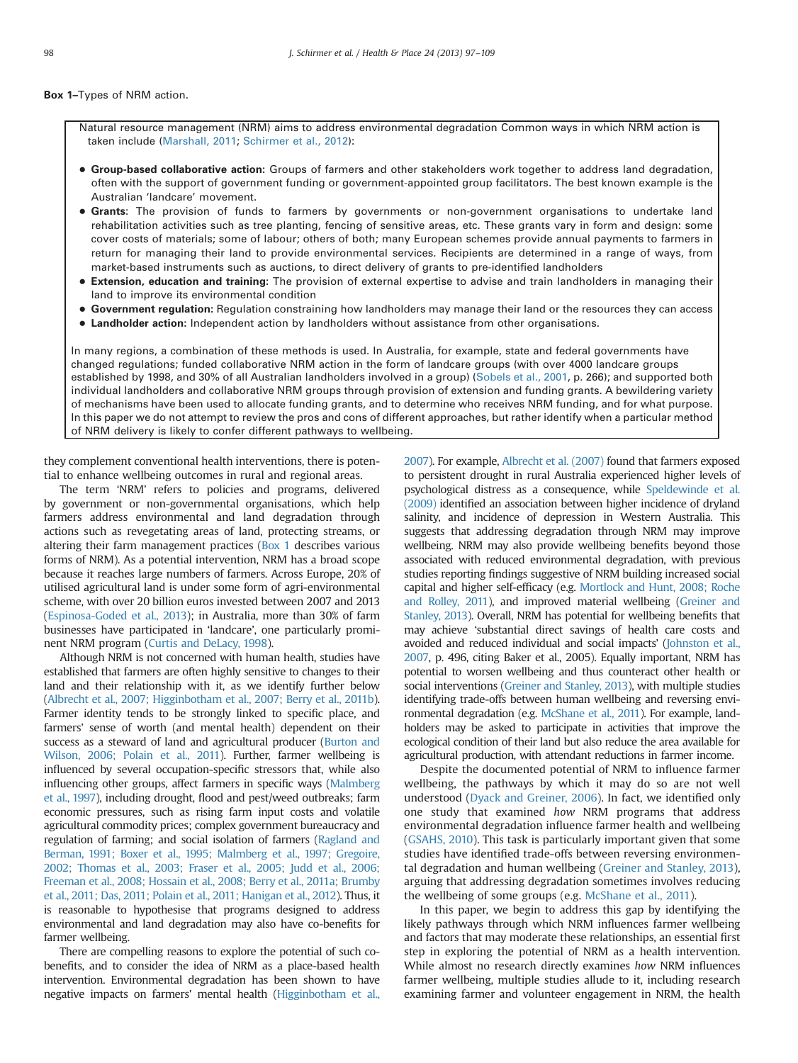**Box 1–**Types of NRM action.

Natural resource management (NRM) aims to address environmental degradation Common ways in which NRM action is taken include [\(Marshall, 2011;](#page-11-0) [Schirmer et al., 2012\)](#page-12-0):

- **Group-based collaborative action:** Groups of farmers and other stakeholders work together to address land degradation, often with the support of government funding or government-appointed group facilitators. The best known example is the Australian 'landcare' movement.
- **Grants**: The provision of funds to farmers by governments or non-government organisations to undertake land rehabilitation activities such as tree planting, fencing of sensitive areas, etc. These grants vary in form and design: some cover costs of materials; some of labour; others of both; many European schemes provide annual payments to farmers in return for managing their land to provide environmental services. Recipients are determined in a range of ways, from market-based instruments such as auctions, to direct delivery of grants to pre-identified landholders
- **Extension, education and training:** The provision of external expertise to advise and train landholders in managing their land to improve its environmental condition
- **Government regulation:** Regulation constraining how landholders may manage their land or the resources they can access
- **Landholder action:** Independent action by landholders without assistance from other organisations.

In many regions, a combination of these methods is used. In Australia, for example, state and federal governments have changed regulations; funded collaborative NRM action in the form of landcare groups (with over 4000 landcare groups established by 1998, and 30% of all Australian landholders involved in a group) ([Sobels et al., 2001,](#page-12-0) p. 266); and supported both individual landholders and collaborative NRM groups through provision of extension and funding grants. A bewildering variety of mechanisms have been used to allocate funding grants, and to determine who receives NRM funding, and for what purpose. In this paper we do not attempt to review the pros and cons of different approaches, but rather identify when a particular method of NRM delivery is likely to confer different pathways to wellbeing.

they complement conventional health interventions, there is potential to enhance wellbeing outcomes in rural and regional areas.

The term 'NRM' refers to policies and programs, delivered by government or non-governmental organisations, which help farmers address environmental and land degradation through actions such as revegetating areas of land, protecting streams, or altering their farm management practices (Box 1 describes various forms of NRM). As a potential intervention, NRM has a broad scope because it reaches large numbers of farmers. Across Europe, 20% of utilised agricultural land is under some form of agri-environmental scheme, with over 20 billion euros invested between 2007 and 2013 ([Espinosa-Goded et al., 2013](#page-11-0)); in Australia, more than 30% of farm businesses have participated in 'landcare', one particularly prominent NRM program [\(Curtis and DeLacy, 1998\)](#page-10-0).

Although NRM is not concerned with human health, studies have established that farmers are often highly sensitive to changes to their land and their relationship with it, as we identify further below ([Albrecht et al., 2007; Higginbotham et al., 2007; Berry et al., 2011b](#page-10-0)). Farmer identity tends to be strongly linked to specific place, and farmers' sense of worth (and mental health) dependent on their success as a steward of land and agricultural producer [\(Burton and](#page-10-0) [Wilson, 2006; Polain et al., 2011](#page-12-0)). Further, farmer wellbeing is influenced by several occupation-specific stressors that, while also influencing other groups, affect farmers in specific ways [\(Malmberg](#page-11-0) [et al., 1997](#page-11-0)), including drought, flood and pest/weed outbreaks; farm economic pressures, such as rising farm input costs and volatile agricultural commodity prices; complex government bureaucracy and regulation of farming; and social isolation of farmers [\(Ragland and](#page-12-0) [Berman, 1991; Boxer et al., 1995; Malmberg et al., 1997; Gregoire,](#page-11-0) [2002; Thomas et al., 2003; Fraser et al., 2005; Judd et al., 2006;](#page-11-0) [Freeman et al., 2008; Hossain et al., 2008; Berry et al., 2011a; Brumby](#page-10-0) [et al., 2011; Das, 2011; Polain et al., 2011; Hanigan et al., 2012\)](#page-11-0). Thus, it is reasonable to hypothesise that programs designed to address environmental and land degradation may also have co-benefits for farmer wellbeing.

There are compelling reasons to explore the potential of such cobenefits, and to consider the idea of NRM as a place-based health intervention. Environmental degradation has been shown to have negative impacts on farmers' mental health [\(Higginbotham et al.,](#page-11-0) [2007\)](#page-11-0). For example, [Albrecht et al. \(2007\)](#page-10-0) found that farmers exposed to persistent drought in rural Australia experienced higher levels of psychological distress as a consequence, while [Speldewinde et al.](#page-12-0) [\(2009\)](#page-12-0) identified an association between higher incidence of dryland salinity, and incidence of depression in Western Australia. This suggests that addressing degradation through NRM may improve wellbeing. NRM may also provide wellbeing benefits beyond those associated with reduced environmental degradation, with previous studies reporting findings suggestive of NRM building increased social capital and higher self-efficacy (e.g. [Mortlock and Hunt, 2008; Roche](#page-12-0) [and Rolley, 2011](#page-12-0)), and improved material wellbeing ([Greiner and](#page-11-0) [Stanley, 2013](#page-11-0)). Overall, NRM has potential for wellbeing benefits that may achieve 'substantial direct savings of health care costs and avoided and reduced individual and social impacts' ([Johnston et al.,](#page-11-0) [2007,](#page-11-0) p. 496, citing Baker et al., 2005). Equally important, NRM has potential to worsen wellbeing and thus counteract other health or social interventions ([Greiner and Stanley, 2013\)](#page-11-0), with multiple studies identifying trade-offs between human wellbeing and reversing environmental degradation (e.g. [McShane et al., 2011\)](#page-11-0). For example, landholders may be asked to participate in activities that improve the ecological condition of their land but also reduce the area available for agricultural production, with attendant reductions in farmer income.

Despite the documented potential of NRM to influence farmer wellbeing, the pathways by which it may do so are not well understood ([Dyack and Greiner, 2006\)](#page-11-0). In fact, we identified only one study that examined how NRM programs that address environmental degradation influence farmer health and wellbeing ([GSAHS, 2010](#page-11-0)). This task is particularly important given that some studies have identified trade-offs between reversing environmental degradation and human wellbeing [\(Greiner and Stanley, 2013\)](#page-11-0), arguing that addressing degradation sometimes involves reducing the wellbeing of some groups (e.g. [McShane et al., 2011](#page-11-0)).

In this paper, we begin to address this gap by identifying the likely pathways through which NRM influences farmer wellbeing and factors that may moderate these relationships, an essential first step in exploring the potential of NRM as a health intervention. While almost no research directly examines how NRM influences farmer wellbeing, multiple studies allude to it, including research examining farmer and volunteer engagement in NRM, the health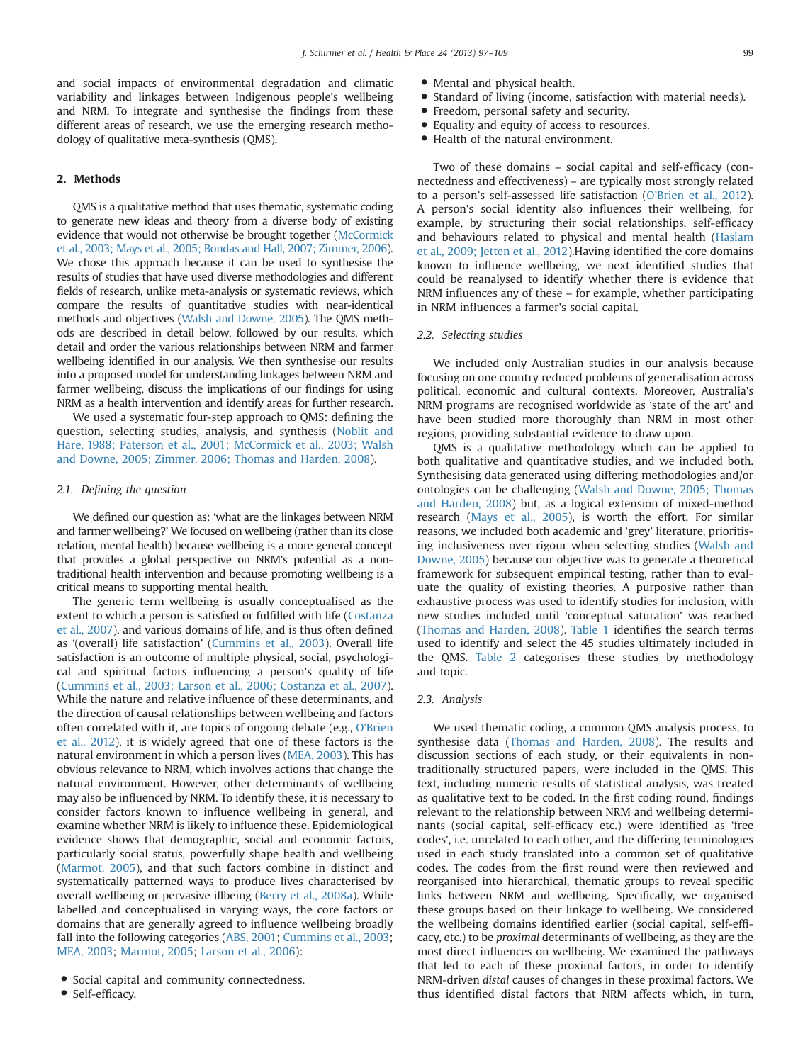<span id="page-2-0"></span>and social impacts of environmental degradation and climatic variability and linkages between Indigenous people's wellbeing and NRM. To integrate and synthesise the findings from these different areas of research, we use the emerging research methodology of qualitative meta-synthesis (QMS).

## 2. Methods

QMS is a qualitative method that uses thematic, systematic coding to generate new ideas and theory from a diverse body of existing evidence that would not otherwise be brought together [\(McCormick](#page-11-0) [et al., 2003; Mays et al., 2005; Bondas and Hall, 2007; Zimmer, 2006\)](#page-12-0). We chose this approach because it can be used to synthesise the results of studies that have used diverse methodologies and different fields of research, unlike meta-analysis or systematic reviews, which compare the results of quantitative studies with near-identical methods and objectives ([Walsh and Downe, 2005\)](#page-12-0). The QMS methods are described in detail below, followed by our results, which detail and order the various relationships between NRM and farmer wellbeing identified in our analysis. We then synthesise our results into a proposed model for understanding linkages between NRM and farmer wellbeing, discuss the implications of our findings for using NRM as a health intervention and identify areas for further research.

We used a systematic four-step approach to QMS: defining the question, selecting studies, analysis, and synthesis [\(Noblit and](#page-11-0) [Hare, 1988; Paterson et al., 2001; McCormick et al., 2003; Walsh](#page-12-0) [and Downe, 2005; Zimmer, 2006; Thomas and Harden, 2008](#page-12-0)).

## 2.1. Defining the question

We defined our question as: 'what are the linkages between NRM and farmer wellbeing?' We focused on wellbeing (rather than its close relation, mental health) because wellbeing is a more general concept that provides a global perspective on NRM's potential as a nontraditional health intervention and because promoting wellbeing is a critical means to supporting mental health.

The generic term wellbeing is usually conceptualised as the extent to which a person is satisfied or fulfilled with life ([Costanza](#page-10-0) [et al., 2007](#page-10-0)), and various domains of life, and is thus often defined as '(overall) life satisfaction' [\(Cummins et al., 2003\)](#page-10-0). Overall life satisfaction is an outcome of multiple physical, social, psychological and spiritual factors influencing a person's quality of life ([Cummins et al., 2003; Larson et al., 2006; Costanza et al., 2007\)](#page-10-0). While the nature and relative influence of these determinants, and the direction of causal relationships between wellbeing and factors often correlated with it, are topics of ongoing debate (e.g., O'[Brien](#page-11-0) [et al., 2012\)](#page-11-0), it is widely agreed that one of these factors is the natural environment in which a person lives ([MEA, 2003\)](#page-11-0). This has obvious relevance to NRM, which involves actions that change the natural environment. However, other determinants of wellbeing may also be influenced by NRM. To identify these, it is necessary to consider factors known to influence wellbeing in general, and examine whether NRM is likely to influence these. Epidemiological evidence shows that demographic, social and economic factors, particularly social status, powerfully shape health and wellbeing ([Marmot, 2005](#page-11-0)), and that such factors combine in distinct and systematically patterned ways to produce lives characterised by overall wellbeing or pervasive illbeing ([Berry et al., 2008a](#page-10-0)). While labelled and conceptualised in varying ways, the core factors or domains that are generally agreed to influence wellbeing broadly fall into the following categories ([ABS, 2001](#page-10-0); [Cummins et al., 2003;](#page-10-0) [MEA, 2003](#page-11-0); [Marmot, 2005](#page-11-0); [Larson et al., 2006](#page-11-0)):

• Self-efficacy.

- Mental and physical health.
- Standard of living (income, satisfaction with material needs).
- Freedom, personal safety and security.
- Equality and equity of access to resources.
- Health of the natural environment.

Two of these domains – social capital and self-efficacy (connectedness and effectiveness) – are typically most strongly related to a person's self-assessed life satisfaction (O'[Brien et al., 2012\)](#page-11-0). A person's social identity also influences their wellbeing, for example, by structuring their social relationships, self-efficacy and behaviours related to physical and mental health [\(Haslam](#page-11-0) [et al., 2009; Jetten et al., 2012](#page-11-0)).Having identified the core domains known to influence wellbeing, we next identified studies that could be reanalysed to identify whether there is evidence that NRM influences any of these – for example, whether participating in NRM influences a farmer's social capital.

#### 2.2. Selecting studies

We included only Australian studies in our analysis because focusing on one country reduced problems of generalisation across political, economic and cultural contexts. Moreover, Australia's NRM programs are recognised worldwide as 'state of the art' and have been studied more thoroughly than NRM in most other regions, providing substantial evidence to draw upon.

QMS is a qualitative methodology which can be applied to both qualitative and quantitative studies, and we included both. Synthesising data generated using differing methodologies and/or ontologies can be challenging ([Walsh and Downe, 2005; Thomas](#page-12-0) [and Harden, 2008](#page-12-0)) but, as a logical extension of mixed-method research ([Mays et al., 2005](#page-11-0)), is worth the effort. For similar reasons, we included both academic and 'grey' literature, prioritising inclusiveness over rigour when selecting studies [\(Walsh and](#page-12-0) [Downe, 2005](#page-12-0)) because our objective was to generate a theoretical framework for subsequent empirical testing, rather than to evaluate the quality of existing theories. A purposive rather than exhaustive process was used to identify studies for inclusion, with new studies included until 'conceptual saturation' was reached ([Thomas and Harden, 2008](#page-12-0)). [Table 1](#page-3-0) identifies the search terms used to identify and select the 45 studies ultimately included in the QMS. [Table 2](#page-4-0) categorises these studies by methodology and topic.

## 2.3. Analysis

We used thematic coding, a common QMS analysis process, to synthesise data ([Thomas and Harden, 2008\)](#page-12-0). The results and discussion sections of each study, or their equivalents in nontraditionally structured papers, were included in the QMS. This text, including numeric results of statistical analysis, was treated as qualitative text to be coded. In the first coding round, findings relevant to the relationship between NRM and wellbeing determinants (social capital, self-efficacy etc.) were identified as 'free codes', i.e. unrelated to each other, and the differing terminologies used in each study translated into a common set of qualitative codes. The codes from the first round were then reviewed and reorganised into hierarchical, thematic groups to reveal specific links between NRM and wellbeing. Specifically, we organised these groups based on their linkage to wellbeing. We considered the wellbeing domains identified earlier (social capital, self-efficacy, etc.) to be proximal determinants of wellbeing, as they are the most direct influences on wellbeing. We examined the pathways that led to each of these proximal factors, in order to identify NRM-driven distal causes of changes in these proximal factors. We thus identified distal factors that NRM affects which, in turn,

<sup>•</sup> Social capital and community connectedness.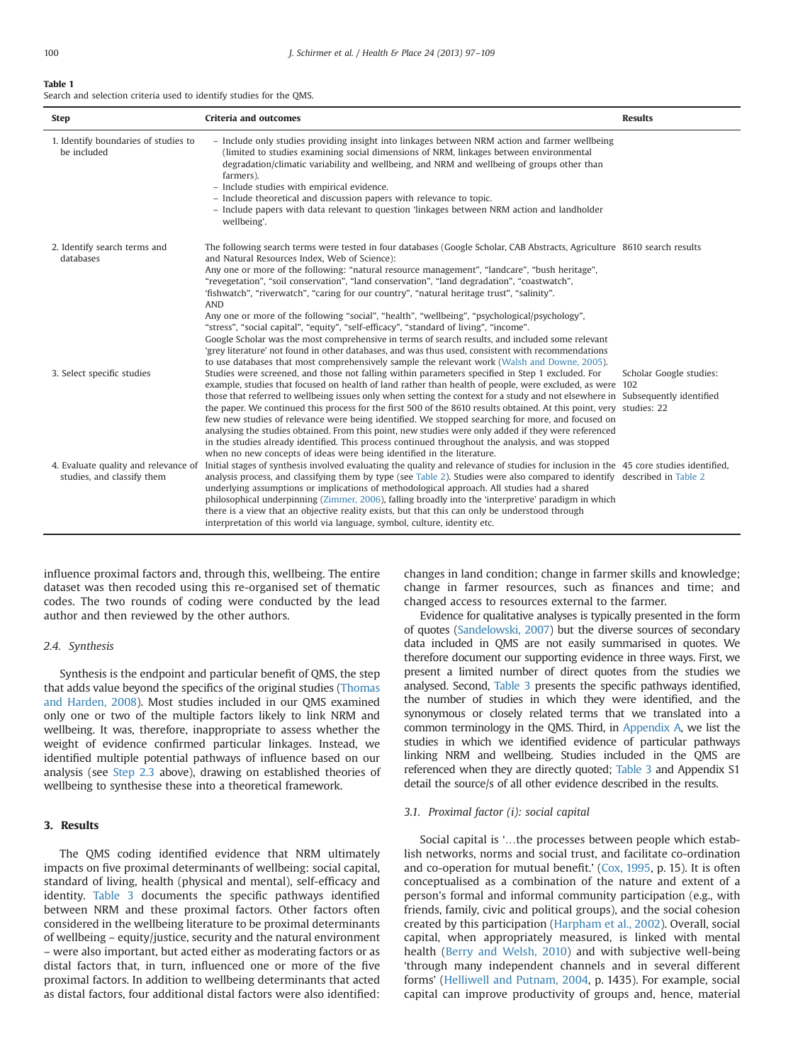#### <span id="page-3-0"></span>Table 1

Search and selection criteria used to identify studies for the QMS.

| <b>Step</b>                                                        | <b>Criteria and outcomes</b>                                                                                                                                                                                                                                                                                                                                                                                                                                                                                                                                                                                                                                                                                                                                                                                                                                                                                                                                        | <b>Results</b>          |
|--------------------------------------------------------------------|---------------------------------------------------------------------------------------------------------------------------------------------------------------------------------------------------------------------------------------------------------------------------------------------------------------------------------------------------------------------------------------------------------------------------------------------------------------------------------------------------------------------------------------------------------------------------------------------------------------------------------------------------------------------------------------------------------------------------------------------------------------------------------------------------------------------------------------------------------------------------------------------------------------------------------------------------------------------|-------------------------|
| 1. Identify boundaries of studies to<br>be included                | - Include only studies providing insight into linkages between NRM action and farmer wellbeing<br>(limited to studies examining social dimensions of NRM, linkages between environmental<br>degradation/climatic variability and wellbeing, and NRM and wellbeing of groups other than<br>farmers).<br>- Include studies with empirical evidence.<br>- Include theoretical and discussion papers with relevance to topic.<br>- Include papers with data relevant to question 'linkages between NRM action and landholder<br>wellbeing'.                                                                                                                                                                                                                                                                                                                                                                                                                             |                         |
| 2. Identify search terms and<br>databases                          | The following search terms were tested in four databases (Google Scholar, CAB Abstracts, Agriculture 8610 search results<br>and Natural Resources Index, Web of Science):<br>Any one or more of the following: "natural resource management", "landcare", "bush heritage",<br>"revegetation", "soil conservation", "land conservation", "land degradation", "coastwatch",<br>'fishwatch", "riverwatch", "caring for our country", "natural heritage trust", "salinity".<br><b>AND</b><br>Any one or more of the following "social", "health", "wellbeing", "psychological/psychology",<br>"stress", "social capital", "equity", "self-efficacy", "standard of living", "income".<br>Google Scholar was the most comprehensive in terms of search results, and included some relevant<br>'grey literature' not found in other databases, and was thus used, consistent with recommendations                                                                          |                         |
| 3. Select specific studies                                         | to use databases that most comprehensively sample the relevant work (Walsh and Downe, 2005).<br>Studies were screened, and those not falling within parameters specified in Step 1 excluded. For<br>example, studies that focused on health of land rather than health of people, were excluded, as were 102<br>those that referred to wellbeing issues only when setting the context for a study and not elsewhere in Subsequently identified<br>the paper. We continued this process for the first 500 of the 8610 results obtained. At this point, very studies: 22<br>few new studies of relevance were being identified. We stopped searching for more, and focused on<br>analysing the studies obtained. From this point, new studies were only added if they were referenced<br>in the studies already identified. This process continued throughout the analysis, and was stopped<br>when no new concepts of ideas were being identified in the literature. | Scholar Google studies: |
| 4. Evaluate quality and relevance of<br>studies, and classify them | Initial stages of synthesis involved evaluating the quality and relevance of studies for inclusion in the 45 core studies identified,<br>analysis process, and classifying them by type (see Table 2). Studies were also compared to identify described in Table 2<br>underlying assumptions or implications of methodological approach. All studies had a shared<br>philosophical underpinning (Zimmer, 2006), falling broadly into the 'interpretive' paradigm in which<br>there is a view that an objective reality exists, but that this can only be understood through<br>interpretation of this world via language, symbol, culture, identity etc.                                                                                                                                                                                                                                                                                                            |                         |

influence proximal factors and, through this, wellbeing. The entire dataset was then recoded using this re-organised set of thematic codes. The two rounds of coding were conducted by the lead author and then reviewed by the other authors.

## 2.4. Synthesis

Synthesis is the endpoint and particular benefit of QMS, the step that adds value beyond the specifics of the original studies [\(Thomas](#page-12-0) [and Harden, 2008](#page-12-0)). Most studies included in our QMS examined only one or two of the multiple factors likely to link NRM and wellbeing. It was, therefore, inappropriate to assess whether the weight of evidence confirmed particular linkages. Instead, we identified multiple potential pathways of influence based on our analysis (see [Step 2.3](#page-2-0) above), drawing on established theories of wellbeing to synthesise these into a theoretical framework.

## 3. Results

The QMS coding identified evidence that NRM ultimately impacts on five proximal determinants of wellbeing: social capital, standard of living, health (physical and mental), self-efficacy and identity. [Table 3](#page-5-0) documents the specific pathways identified between NRM and these proximal factors. Other factors often considered in the wellbeing literature to be proximal determinants of wellbeing – equity/justice, security and the natural environment – were also important, but acted either as moderating factors or as distal factors that, in turn, influenced one or more of the five proximal factors. In addition to wellbeing determinants that acted as distal factors, four additional distal factors were also identified: changes in land condition; change in farmer skills and knowledge; change in farmer resources, such as finances and time; and changed access to resources external to the farmer.

Evidence for qualitative analyses is typically presented in the form of quotes ([Sandelowski, 2007](#page-12-0)) but the diverse sources of secondary data included in QMS are not easily summarised in quotes. We therefore document our supporting evidence in three ways. First, we present a limited number of direct quotes from the studies we analysed. Second, [Table 3](#page-5-0) presents the specific pathways identified, the number of studies in which they were identified, and the synonymous or closely related terms that we translated into a common terminology in the QMS. Third, in [Appendix A](#page-10-0), we list the studies in which we identified evidence of particular pathways linking NRM and wellbeing. Studies included in the QMS are referenced when they are directly quoted; [Table 3](#page-5-0) and Appendix S1 detail the source/s of all other evidence described in the results.

## 3.1. Proximal factor (i): social capital

Social capital is '…the processes between people which establish networks, norms and social trust, and facilitate co-ordination and co-operation for mutual benefit.' [\(Cox, 1995,](#page-10-0) p. 15). It is often conceptualised as a combination of the nature and extent of a person's formal and informal community participation (e.g., with friends, family, civic and political groups), and the social cohesion created by this participation ([Harpham et al., 2002](#page-11-0)). Overall, social capital, when appropriately measured, is linked with mental health ([Berry and Welsh, 2010](#page-10-0)) and with subjective well-being 'through many independent channels and in several different forms' ([Helliwell and Putnam, 2004](#page-11-0), p. 1435). For example, social capital can improve productivity of groups and, hence, material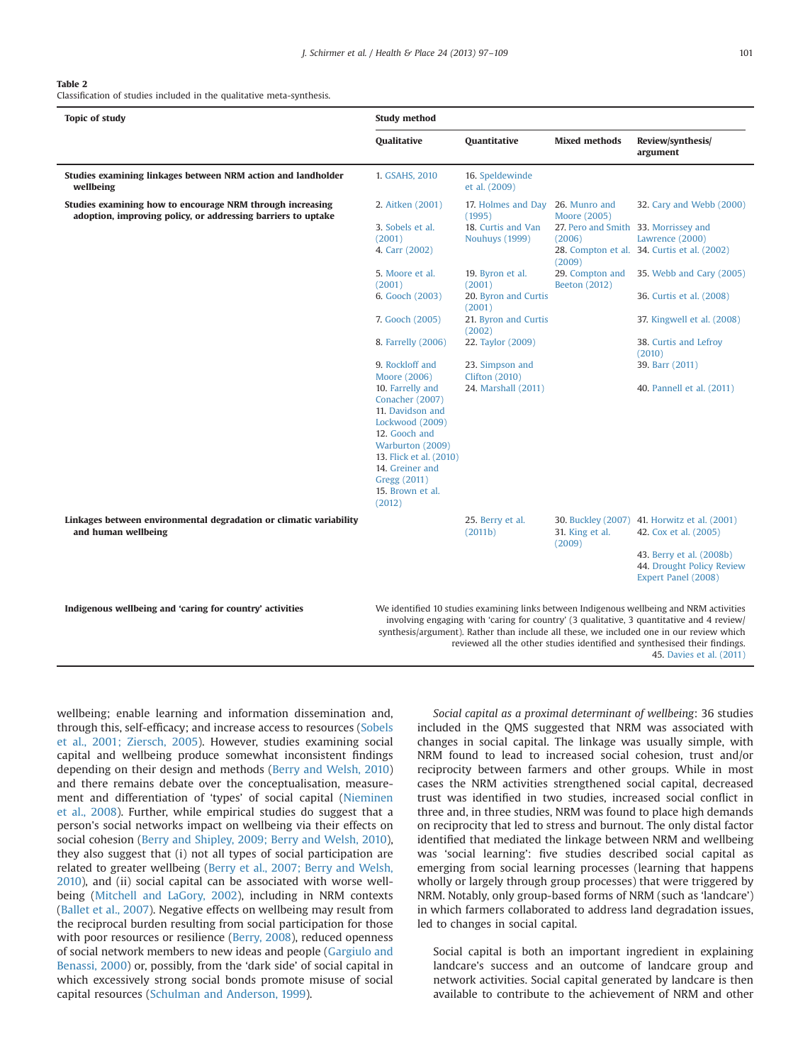#### <span id="page-4-0"></span>Table 2

Classification of studies included in the qualitative meta-synthesis.

| <b>Topic of study</b>                                                                                                     | <b>Study method</b>                                                                                                                                                                                                                                                                                                                                                                                              |                                                                                                                                                                                                                                                                                     |                                                                      |                                                                                                                                                                                                                                                                                                             |
|---------------------------------------------------------------------------------------------------------------------------|------------------------------------------------------------------------------------------------------------------------------------------------------------------------------------------------------------------------------------------------------------------------------------------------------------------------------------------------------------------------------------------------------------------|-------------------------------------------------------------------------------------------------------------------------------------------------------------------------------------------------------------------------------------------------------------------------------------|----------------------------------------------------------------------|-------------------------------------------------------------------------------------------------------------------------------------------------------------------------------------------------------------------------------------------------------------------------------------------------------------|
|                                                                                                                           | Qualitative                                                                                                                                                                                                                                                                                                                                                                                                      | Quantitative                                                                                                                                                                                                                                                                        | <b>Mixed methods</b>                                                 | Review/synthesis/<br>argument                                                                                                                                                                                                                                                                               |
| Studies examining linkages between NRM action and landholder<br>wellbeing                                                 | 1. GSAHS, 2010                                                                                                                                                                                                                                                                                                                                                                                                   | 16. Speldewinde<br>et al. (2009)                                                                                                                                                                                                                                                    |                                                                      |                                                                                                                                                                                                                                                                                                             |
| Studies examining how to encourage NRM through increasing<br>adoption, improving policy, or addressing barriers to uptake | 2. Aitken (2001)<br>3. Sobels et al.<br>(2001)<br>4. Carr (2002)<br>5. Moore et al.<br>(2001)<br>6. Gooch (2003)<br>7. Gooch (2005)<br>8. Farrelly (2006)<br>9. Rockloff and<br>Moore (2006)<br>10. Farrelly and<br>Conacher (2007)<br>11. Davidson and<br>Lockwood (2009)<br>12. Gooch and<br>Warburton (2009)<br>13. Flick et al. (2010)<br>14. Greiner and<br>Gregg (2011)                                    | 17. Holmes and Day 26. Munro and<br>(1995)<br>18. Curtis and Van<br><b>Nouhuys (1999)</b><br>19. Byron et al.<br>(2001)<br>20. Byron and Curtis<br>(2001)<br>21. Byron and Curtis<br>(2002)<br>22. Taylor (2009)<br>23. Simpson and<br><b>Clifton (2010)</b><br>24. Marshall (2011) | Moore (2005)<br>(2006)<br>(2009)<br>29. Compton and<br>Beeton (2012) | 32. Cary and Webb (2000)<br>27. Pero and Smith 33. Morrissey and<br>Lawrence (2000)<br>28. Compton et al. 34. Curtis et al. (2002)<br>35. Webb and Cary (2005)<br>36. Curtis et al. (2008)<br>37. Kingwell et al. (2008)<br>38. Curtis and Lefroy<br>(2010)<br>39. Barr (2011)<br>40. Pannell et al. (2011) |
| Linkages between environmental degradation or climatic variability<br>and human wellbeing                                 | 15. Brown et al.<br>(2012)                                                                                                                                                                                                                                                                                                                                                                                       | 25. Berry et al.<br>(2011b)                                                                                                                                                                                                                                                         | 31. King et al.<br>(2009)                                            | 30. Buckley (2007) 41. Horwitz et al. (2001)<br>42. Cox et al. (2005)<br>43. Berry et al. (2008b)<br>44. Drought Policy Review                                                                                                                                                                              |
| Indigenous wellbeing and 'caring for country' activities                                                                  | Expert Panel (2008)<br>We identified 10 studies examining links between Indigenous wellbeing and NRM activities<br>involving engaging with 'caring for country' (3 qualitative, 3 quantitative and 4 review/<br>synthesis/argument). Rather than include all these, we included one in our review which<br>reviewed all the other studies identified and synthesised their findings.<br>45. Davies et al. (2011) |                                                                                                                                                                                                                                                                                     |                                                                      |                                                                                                                                                                                                                                                                                                             |

wellbeing; enable learning and information dissemination and, through this, self-efficacy; and increase access to resources [\(Sobels](#page-12-0) [et al., 2001; Ziersch, 2005\)](#page-12-0). However, studies examining social capital and wellbeing produce somewhat inconsistent findings depending on their design and methods [\(Berry and Welsh, 2010\)](#page-10-0) and there remains debate over the conceptualisation, measurement and differentiation of 'types' of social capital [\(Nieminen](#page-11-0) [et al., 2008](#page-11-0)). Further, while empirical studies do suggest that a person's social networks impact on wellbeing via their effects on social cohesion ([Berry and Shipley, 2009; Berry and Welsh, 2010\)](#page-10-0), they also suggest that (i) not all types of social participation are related to greater wellbeing ([Berry et al., 2007; Berry and Welsh,](#page-10-0) [2010\)](#page-10-0), and (ii) social capital can be associated with worse wellbeing ([Mitchell and LaGory, 2002](#page-11-0)), including in NRM contexts ([Ballet et al., 2007](#page-10-0)). Negative effects on wellbeing may result from the reciprocal burden resulting from social participation for those with poor resources or resilience ([Berry, 2008](#page-10-0)), reduced openness of social network members to new ideas and people ([Gargiulo and](#page-11-0) [Benassi, 2000\)](#page-11-0) or, possibly, from the 'dark side' of social capital in which excessively strong social bonds promote misuse of social capital resources [\(Schulman and Anderson, 1999](#page-12-0)).

Social capital as a proximal determinant of wellbeing: 36 studies included in the QMS suggested that NRM was associated with changes in social capital. The linkage was usually simple, with NRM found to lead to increased social cohesion, trust and/or reciprocity between farmers and other groups. While in most cases the NRM activities strengthened social capital, decreased trust was identified in two studies, increased social conflict in three and, in three studies, NRM was found to place high demands on reciprocity that led to stress and burnout. The only distal factor identified that mediated the linkage between NRM and wellbeing was 'social learning': five studies described social capital as emerging from social learning processes (learning that happens wholly or largely through group processes) that were triggered by NRM. Notably, only group-based forms of NRM (such as 'landcare') in which farmers collaborated to address land degradation issues, led to changes in social capital.

Social capital is both an important ingredient in explaining landcare's success and an outcome of landcare group and network activities. Social capital generated by landcare is then available to contribute to the achievement of NRM and other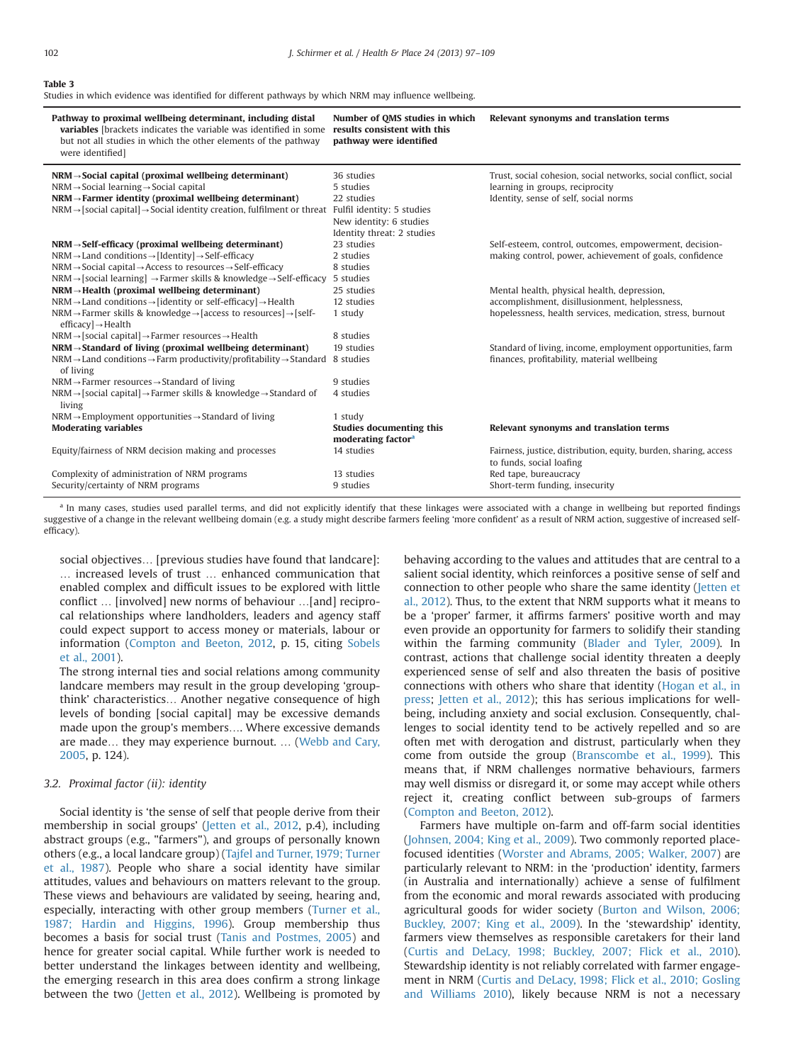#### <span id="page-5-0"></span>Table 3

Studies in which evidence was identified for different pathways by which NRM may influence wellbeing.

| Pathway to proximal wellbeing determinant, including distal<br>variables [brackets indicates the variable was identified in some<br>but not all studies in which the other elements of the pathway<br>were identified] | Number of QMS studies in which<br>results consistent with this<br>pathway were identified | Relevant synonyms and translation terms                                                      |
|------------------------------------------------------------------------------------------------------------------------------------------------------------------------------------------------------------------------|-------------------------------------------------------------------------------------------|----------------------------------------------------------------------------------------------|
| $NRM \rightarrow$ Social capital (proximal wellbeing determinant)                                                                                                                                                      | 36 studies                                                                                | Trust, social cohesion, social networks, social conflict, social                             |
| $NRM \rightarrow Social$ learning $\rightarrow$ Social capital                                                                                                                                                         | 5 studies                                                                                 | learning in groups, reciprocity                                                              |
| $NRM \rightarrow$ Farmer identity (proximal wellbeing determinant)                                                                                                                                                     | 22 studies                                                                                | Identity, sense of self, social norms                                                        |
| $NRM \rightarrow$ [social capital] $\rightarrow$ Social identity creation, fulfilment or threat                                                                                                                        | Fulfil identity: 5 studies                                                                |                                                                                              |
|                                                                                                                                                                                                                        | New identity: 6 studies                                                                   |                                                                                              |
|                                                                                                                                                                                                                        | Identity threat: 2 studies                                                                |                                                                                              |
| $NRM \rightarrow Self\text{-}efficacy$ (proximal wellbeing determinant)                                                                                                                                                | 23 studies                                                                                | Self-esteem, control, outcomes, empowerment, decision-                                       |
| $NRM \rightarrow$ Land conditions $\rightarrow$ [Identity] $\rightarrow$ Self-efficacy                                                                                                                                 | 2 studies                                                                                 | making control, power, achievement of goals, confidence                                      |
| $NRM \rightarrow$ Social capital $\rightarrow$ Access to resources $\rightarrow$ Self-efficacy                                                                                                                         | 8 studies                                                                                 |                                                                                              |
| $NRM \rightarrow$ [social learning] $\rightarrow$ Farmer skills & knowledge $\rightarrow$ Self-efficacy                                                                                                                | 5 studies                                                                                 |                                                                                              |
| $NRM \rightarrow Health$ (proximal wellbeing determinant)                                                                                                                                                              | 25 studies                                                                                | Mental health, physical health, depression,                                                  |
| $NRM \rightarrow$ Land conditions $\rightarrow$ [identity or self-efficacy] $\rightarrow$ Health                                                                                                                       | 12 studies                                                                                | accomplishment, disillusionment, helplessness,                                               |
| $NRM \rightarrow$ Farmer skills & knowledge $\rightarrow$ [access to resources] $\rightarrow$ [self-                                                                                                                   | 1 study                                                                                   | hopelessness, health services, medication, stress, burnout                                   |
| $efficacy$ ] $\rightarrow$ Health                                                                                                                                                                                      |                                                                                           |                                                                                              |
| $NRM \rightarrow$ [social capital] $\rightarrow$ Farmer resources $\rightarrow$ Health                                                                                                                                 | 8 studies                                                                                 |                                                                                              |
| $NRM \rightarrow$ Standard of living (proximal wellbeing determinant)                                                                                                                                                  | 19 studies                                                                                | Standard of living, income, employment opportunities, farm                                   |
| $NRM \rightarrow$ Land conditions $\rightarrow$ Farm productivity/profitability $\rightarrow$ Standard 8 studies<br>of living                                                                                          |                                                                                           | finances, profitability, material wellbeing                                                  |
| $NRM \rightarrow$ Farmer resources $\rightarrow$ Standard of living                                                                                                                                                    | 9 studies                                                                                 |                                                                                              |
| $NRM \rightarrow$ [social capital] $\rightarrow$ Farmer skills & knowledge $\rightarrow$ Standard of<br>living                                                                                                         | 4 studies                                                                                 |                                                                                              |
| $NRM \rightarrow$ Employment opportunities $\rightarrow$ Standard of living                                                                                                                                            | 1 study                                                                                   |                                                                                              |
| <b>Moderating variables</b>                                                                                                                                                                                            | <b>Studies documenting this</b><br>moderating factor <sup>a</sup>                         | Relevant synonyms and translation terms                                                      |
| Equity/fairness of NRM decision making and processes                                                                                                                                                                   | 14 studies                                                                                | Fairness, justice, distribution, equity, burden, sharing, access<br>to funds, social loafing |
| Complexity of administration of NRM programs                                                                                                                                                                           | 13 studies                                                                                | Red tape, bureaucracy                                                                        |
| Security/certainty of NRM programs                                                                                                                                                                                     | 9 studies                                                                                 | Short-term funding, insecurity                                                               |
|                                                                                                                                                                                                                        |                                                                                           |                                                                                              |

<sup>a</sup> In many cases, studies used parallel terms, and did not explicitly identify that these linkages were associated with a change in wellbeing but reported findings suggestive of a change in the relevant wellbeing domain (e.g. a study might describe farmers feeling 'more confident' as a result of NRM action, suggestive of increased selfefficacy).

social objectives… [previous studies have found that landcare]: … increased levels of trust … enhanced communication that enabled complex and difficult issues to be explored with little conflict … [involved] new norms of behaviour …[and] reciprocal relationships where landholders, leaders and agency staff could expect support to access money or materials, labour or information ([Compton and Beeton, 2012,](#page-10-0) p. 15, citing [Sobels](#page-12-0) [et al., 2001](#page-12-0)).

The strong internal ties and social relations among community landcare members may result in the group developing 'groupthink' characteristics… Another negative consequence of high levels of bonding [social capital] may be excessive demands made upon the group's members…. Where excessive demands are made… they may experience burnout. … [\(Webb and Cary,](#page-12-0) [2005,](#page-12-0) p. 124).

## 3.2. Proximal factor (ii): identity

Social identity is 'the sense of self that people derive from their membership in social groups' [\(Jetten et al., 2012,](#page-11-0) p.4), including abstract groups (e.g., "farmers"), and groups of personally known others (e.g., a local landcare group) ([Tajfel and Turner, 1979; Turner](#page-12-0) [et al., 1987](#page-12-0)). People who share a social identity have similar attitudes, values and behaviours on matters relevant to the group. These views and behaviours are validated by seeing, hearing and, especially, interacting with other group members [\(Turner et al.,](#page-12-0) [1987; Hardin and Higgins, 1996](#page-11-0)). Group membership thus becomes a basis for social trust ([Tanis and Postmes, 2005\)](#page-12-0) and hence for greater social capital. While further work is needed to better understand the linkages between identity and wellbeing, the emerging research in this area does confirm a strong linkage between the two ([Jetten et al., 2012](#page-11-0)). Wellbeing is promoted by behaving according to the values and attitudes that are central to a salient social identity, which reinforces a positive sense of self and connection to other people who share the same identity ([Jetten et](#page-11-0) [al., 2012\)](#page-11-0). Thus, to the extent that NRM supports what it means to be a 'proper' farmer, it affirms farmers' positive worth and may even provide an opportunity for farmers to solidify their standing within the farming community ([Blader and Tyler, 2009](#page-10-0)). In contrast, actions that challenge social identity threaten a deeply experienced sense of self and also threaten the basis of positive connections with others who share that identity [\(Hogan et al., in](#page-11-0) [press](#page-11-0); [Jetten et al., 2012](#page-11-0)); this has serious implications for wellbeing, including anxiety and social exclusion. Consequently, challenges to social identity tend to be actively repelled and so are often met with derogation and distrust, particularly when they come from outside the group ([Branscombe et al., 1999](#page-10-0)). This means that, if NRM challenges normative behaviours, farmers may well dismiss or disregard it, or some may accept while others reject it, creating conflict between sub-groups of farmers ([Compton and Beeton, 2012](#page-10-0)).

Farmers have multiple on-farm and off-farm social identities ([Johnsen, 2004; King et al., 2009\)](#page-11-0). Two commonly reported placefocused identities [\(Worster and Abrams, 2005; Walker, 2007](#page-12-0)) are particularly relevant to NRM: in the 'production' identity, farmers (in Australia and internationally) achieve a sense of fulfilment from the economic and moral rewards associated with producing agricultural goods for wider society ([Burton and Wilson, 2006;](#page-10-0) [Buckley, 2007; King et al., 2009](#page-11-0)). In the 'stewardship' identity, farmers view themselves as responsible caretakers for their land ([Curtis and DeLacy, 1998; Buckley, 2007; Flick et al., 2010\)](#page-11-0). Stewardship identity is not reliably correlated with farmer engagement in NRM ([Curtis and DeLacy, 1998; Flick et al., 2010; Gosling](#page-11-0) [and Williams 2010](#page-11-0)), likely because NRM is not a necessary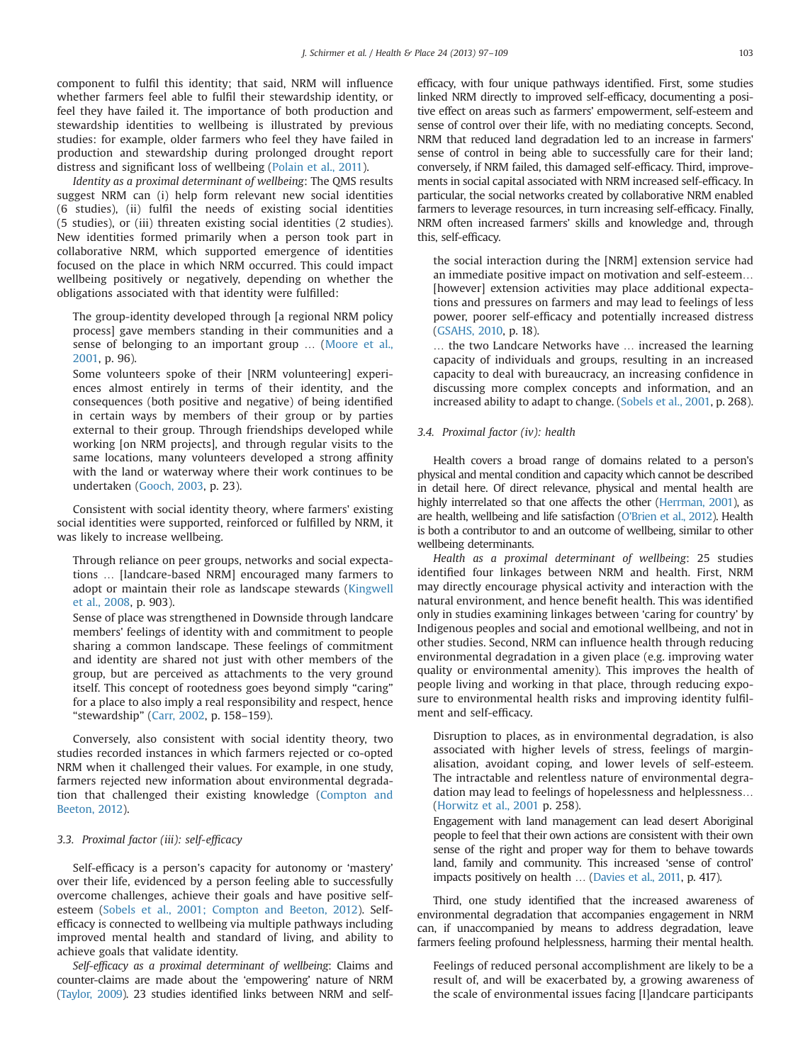component to fulfil this identity; that said, NRM will influence whether farmers feel able to fulfil their stewardship identity, or feel they have failed it. The importance of both production and stewardship identities to wellbeing is illustrated by previous studies: for example, older farmers who feel they have failed in production and stewardship during prolonged drought report distress and significant loss of wellbeing [\(Polain et al., 2011\)](#page-12-0).

Identity as a proximal determinant of wellbeing: The QMS results suggest NRM can (i) help form relevant new social identities (6 studies), (ii) fulfil the needs of existing social identities (5 studies), or (iii) threaten existing social identities (2 studies). New identities formed primarily when a person took part in collaborative NRM, which supported emergence of identities focused on the place in which NRM occurred. This could impact wellbeing positively or negatively, depending on whether the obligations associated with that identity were fulfilled:

The group-identity developed through [a regional NRM policy process] gave members standing in their communities and a sense of belonging to an important group … ([Moore et al.,](#page-11-0) [2001](#page-11-0), p. 96).

Some volunteers spoke of their [NRM volunteering] experiences almost entirely in terms of their identity, and the consequences (both positive and negative) of being identified in certain ways by members of their group or by parties external to their group. Through friendships developed while working [on NRM projects], and through regular visits to the same locations, many volunteers developed a strong affinity with the land or waterway where their work continues to be undertaken ([Gooch, 2003,](#page-11-0) p. 23).

Consistent with social identity theory, where farmers' existing social identities were supported, reinforced or fulfilled by NRM, it was likely to increase wellbeing.

Through reliance on peer groups, networks and social expectations … [landcare-based NRM] encouraged many farmers to adopt or maintain their role as landscape stewards [\(Kingwell](#page-11-0) [et al., 2008](#page-11-0), p. 903).

Sense of place was strengthened in Downside through landcare members' feelings of identity with and commitment to people sharing a common landscape. These feelings of commitment and identity are shared not just with other members of the group, but are perceived as attachments to the very ground itself. This concept of rootedness goes beyond simply "caring" for a place to also imply a real responsibility and respect, hence "stewardship" [\(Carr, 2002,](#page-10-0) p. 158–159).

Conversely, also consistent with social identity theory, two studies recorded instances in which farmers rejected or co-opted NRM when it challenged their values. For example, in one study, farmers rejected new information about environmental degradation that challenged their existing knowledge [\(Compton and](#page-10-0) [Beeton, 2012\)](#page-10-0).

## 3.3. Proximal factor (iii): self-efficacy

Self-efficacy is a person's capacity for autonomy or 'mastery' over their life, evidenced by a person feeling able to successfully overcome challenges, achieve their goals and have positive selfesteem [\(Sobels et al., 2001; Compton and Beeton, 2012](#page-10-0)). Selfefficacy is connected to wellbeing via multiple pathways including improved mental health and standard of living, and ability to achieve goals that validate identity.

Self-efficacy as a proximal determinant of wellbeing: Claims and counter-claims are made about the 'empowering' nature of NRM [\(Taylor, 2009](#page-12-0)). 23 studies identified links between NRM and selfefficacy, with four unique pathways identified. First, some studies linked NRM directly to improved self-efficacy, documenting a positive effect on areas such as farmers' empowerment, self-esteem and sense of control over their life, with no mediating concepts. Second, NRM that reduced land degradation led to an increase in farmers' sense of control in being able to successfully care for their land; conversely, if NRM failed, this damaged self-efficacy. Third, improvements in social capital associated with NRM increased self-efficacy. In particular, the social networks created by collaborative NRM enabled farmers to leverage resources, in turn increasing self-efficacy. Finally, NRM often increased farmers' skills and knowledge and, through this, self-efficacy.

the social interaction during the [NRM] extension service had an immediate positive impact on motivation and self-esteem… [however] extension activities may place additional expectations and pressures on farmers and may lead to feelings of less power, poorer self-efficacy and potentially increased distress [\(GSAHS, 2010](#page-11-0), p. 18).

… the two Landcare Networks have … increased the learning capacity of individuals and groups, resulting in an increased capacity to deal with bureaucracy, an increasing confidence in discussing more complex concepts and information, and an increased ability to adapt to change. ([Sobels et al., 2001,](#page-12-0) p. 268).

## 3.4. Proximal factor (iv): health

Health covers a broad range of domains related to a person's physical and mental condition and capacity which cannot be described in detail here. Of direct relevance, physical and mental health are highly interrelated so that one affects the other [\(Herrman, 2001](#page-11-0)), as are health, wellbeing and life satisfaction (O'[Brien et al., 2012\)](#page-11-0). Health is both a contributor to and an outcome of wellbeing, similar to other wellbeing determinants.

Health as a proximal determinant of wellbeing: 25 studies identified four linkages between NRM and health. First, NRM may directly encourage physical activity and interaction with the natural environment, and hence benefit health. This was identified only in studies examining linkages between 'caring for country' by Indigenous peoples and social and emotional wellbeing, and not in other studies. Second, NRM can influence health through reducing environmental degradation in a given place (e.g. improving water quality or environmental amenity). This improves the health of people living and working in that place, through reducing exposure to environmental health risks and improving identity fulfilment and self-efficacy.

Disruption to places, as in environmental degradation, is also associated with higher levels of stress, feelings of marginalisation, avoidant coping, and lower levels of self-esteem. The intractable and relentless nature of environmental degradation may lead to feelings of hopelessness and helplessness… [\(Horwitz et al., 2001](#page-11-0) p. 258).

Engagement with land management can lead desert Aboriginal people to feel that their own actions are consistent with their own sense of the right and proper way for them to behave towards land, family and community. This increased 'sense of control' impacts positively on health … [\(Davies et al., 2011](#page-11-0), p. 417).

Third, one study identified that the increased awareness of environmental degradation that accompanies engagement in NRM can, if unaccompanied by means to address degradation, leave farmers feeling profound helplessness, harming their mental health.

Feelings of reduced personal accomplishment are likely to be a result of, and will be exacerbated by, a growing awareness of the scale of environmental issues facing [l]andcare participants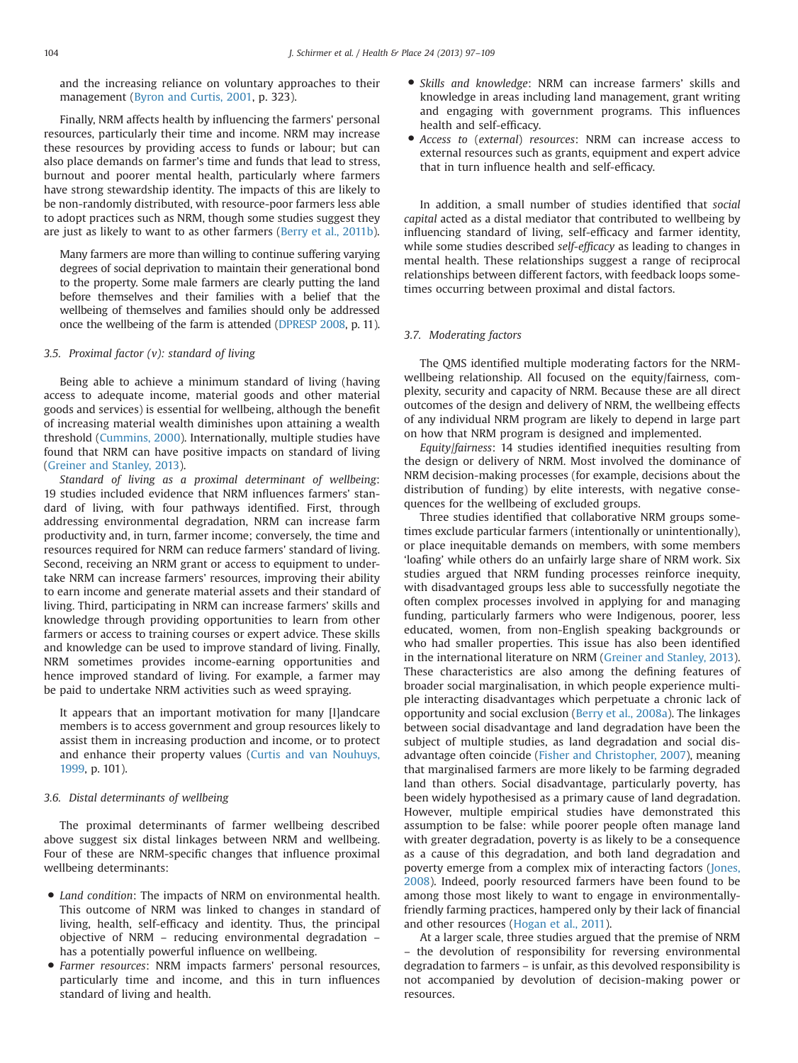and the increasing reliance on voluntary approaches to their management [\(Byron and Curtis, 2001](#page-10-0), p. 323).

Finally, NRM affects health by influencing the farmers' personal resources, particularly their time and income. NRM may increase these resources by providing access to funds or labour; but can also place demands on farmer's time and funds that lead to stress, burnout and poorer mental health, particularly where farmers have strong stewardship identity. The impacts of this are likely to be non-randomly distributed, with resource-poor farmers less able to adopt practices such as NRM, though some studies suggest they are just as likely to want to as other farmers ([Berry et al., 2011b\)](#page-10-0).

Many farmers are more than willing to continue suffering varying degrees of social deprivation to maintain their generational bond to the property. Some male farmers are clearly putting the land before themselves and their families with a belief that the wellbeing of themselves and families should only be addressed once the wellbeing of the farm is attended [\(DPRESP 2008,](#page-11-0) p. 11).

## 3.5. Proximal factor (v): standard of living

Being able to achieve a minimum standard of living (having access to adequate income, material goods and other material goods and services) is essential for wellbeing, although the benefit of increasing material wealth diminishes upon attaining a wealth threshold [\(Cummins, 2000\)](#page-10-0). Internationally, multiple studies have found that NRM can have positive impacts on standard of living ([Greiner and Stanley, 2013\)](#page-11-0).

Standard of living as a proximal determinant of wellbeing: 19 studies included evidence that NRM influences farmers' standard of living, with four pathways identified. First, through addressing environmental degradation, NRM can increase farm productivity and, in turn, farmer income; conversely, the time and resources required for NRM can reduce farmers' standard of living. Second, receiving an NRM grant or access to equipment to undertake NRM can increase farmers' resources, improving their ability to earn income and generate material assets and their standard of living. Third, participating in NRM can increase farmers' skills and knowledge through providing opportunities to learn from other farmers or access to training courses or expert advice. These skills and knowledge can be used to improve standard of living. Finally, NRM sometimes provides income-earning opportunities and hence improved standard of living. For example, a farmer may be paid to undertake NRM activities such as weed spraying.

It appears that an important motivation for many [l]andcare members is to access government and group resources likely to assist them in increasing production and income, or to protect and enhance their property values [\(Curtis and van Nouhuys,](#page-10-0) [1999](#page-10-0), p. 101).

## 3.6. Distal determinants of wellbeing

The proximal determinants of farmer wellbeing described above suggest six distal linkages between NRM and wellbeing. Four of these are NRM-specific changes that influence proximal wellbeing determinants:

- Land condition: The impacts of NRM on environmental health. This outcome of NRM was linked to changes in standard of living, health, self-efficacy and identity. Thus, the principal objective of NRM – reducing environmental degradation – has a potentially powerful influence on wellbeing.
- Farmer resources: NRM impacts farmers' personal resources, particularly time and income, and this in turn influences standard of living and health.
- Skills and knowledge: NRM can increase farmers' skills and knowledge in areas including land management, grant writing and engaging with government programs. This influences health and self-efficacy.
- Access to (external) resources: NRM can increase access to external resources such as grants, equipment and expert advice that in turn influence health and self-efficacy.

In addition, a small number of studies identified that social capital acted as a distal mediator that contributed to wellbeing by influencing standard of living, self-efficacy and farmer identity, while some studies described self-efficacy as leading to changes in mental health. These relationships suggest a range of reciprocal relationships between different factors, with feedback loops sometimes occurring between proximal and distal factors.

#### 3.7. Moderating factors

The QMS identified multiple moderating factors for the NRMwellbeing relationship. All focused on the equity/fairness, complexity, security and capacity of NRM. Because these are all direct outcomes of the design and delivery of NRM, the wellbeing effects of any individual NRM program are likely to depend in large part on how that NRM program is designed and implemented.

Equity/fairness: 14 studies identified inequities resulting from the design or delivery of NRM. Most involved the dominance of NRM decision-making processes (for example, decisions about the distribution of funding) by elite interests, with negative consequences for the wellbeing of excluded groups.

Three studies identified that collaborative NRM groups sometimes exclude particular farmers (intentionally or unintentionally), or place inequitable demands on members, with some members 'loafing' while others do an unfairly large share of NRM work. Six studies argued that NRM funding processes reinforce inequity, with disadvantaged groups less able to successfully negotiate the often complex processes involved in applying for and managing funding, particularly farmers who were Indigenous, poorer, less educated, women, from non-English speaking backgrounds or who had smaller properties. This issue has also been identified in the international literature on NRM ([Greiner and Stanley, 2013\)](#page-11-0). These characteristics are also among the defining features of broader social marginalisation, in which people experience multiple interacting disadvantages which perpetuate a chronic lack of opportunity and social exclusion ([Berry et al., 2008a](#page-10-0)). The linkages between social disadvantage and land degradation have been the subject of multiple studies, as land degradation and social disadvantage often coincide [\(Fisher and Christopher, 2007](#page-11-0)), meaning that marginalised farmers are more likely to be farming degraded land than others. Social disadvantage, particularly poverty, has been widely hypothesised as a primary cause of land degradation. However, multiple empirical studies have demonstrated this assumption to be false: while poorer people often manage land with greater degradation, poverty is as likely to be a consequence as a cause of this degradation, and both land degradation and poverty emerge from a complex mix of interacting factors ([Jones,](#page-11-0) [2008\)](#page-11-0). Indeed, poorly resourced farmers have been found to be among those most likely to want to engage in environmentallyfriendly farming practices, hampered only by their lack of financial and other resources [\(Hogan et al., 2011](#page-11-0)).

At a larger scale, three studies argued that the premise of NRM – the devolution of responsibility for reversing environmental degradation to farmers – is unfair, as this devolved responsibility is not accompanied by devolution of decision-making power or resources.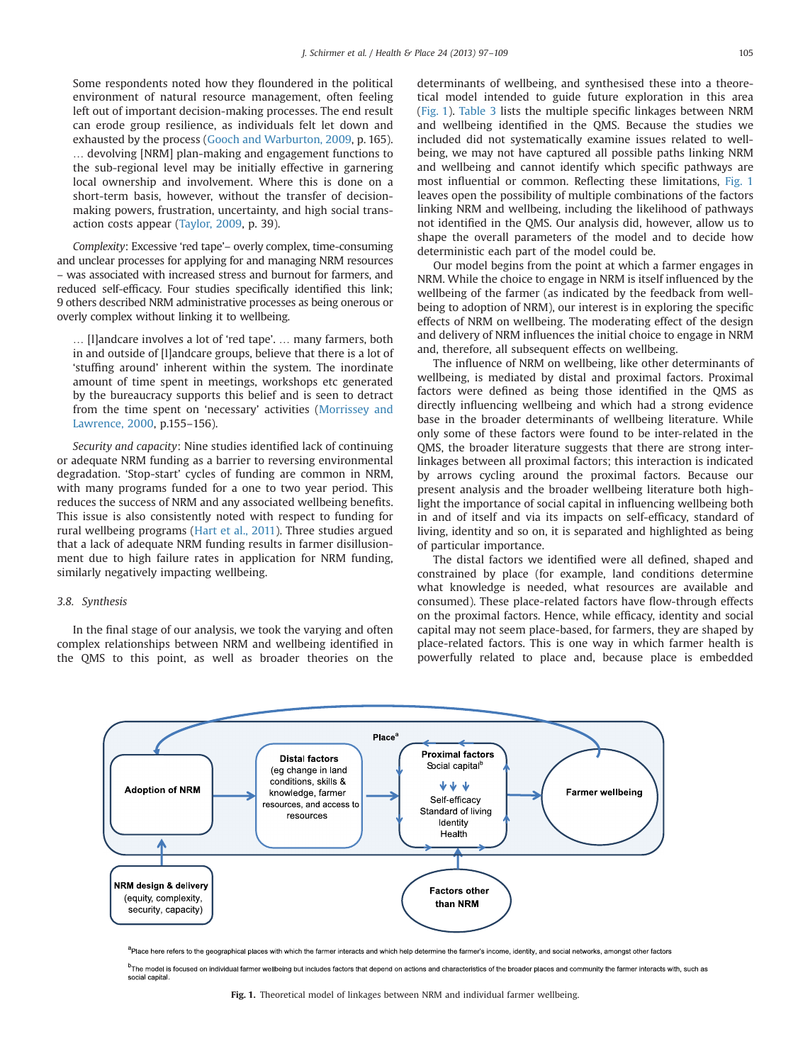Some respondents noted how they floundered in the political environment of natural resource management, often feeling left out of important decision-making processes. The end result can erode group resilience, as individuals felt let down and exhausted by the process ([Gooch and Warburton, 2009](#page-11-0), p. 165). … devolving [NRM] plan-making and engagement functions to the sub-regional level may be initially effective in garnering local ownership and involvement. Where this is done on a short-term basis, however, without the transfer of decisionmaking powers, frustration, uncertainty, and high social transaction costs appear ([Taylor, 2009,](#page-12-0) p. 39).

Complexity: Excessive 'red tape'– overly complex, time-consuming and unclear processes for applying for and managing NRM resources – was associated with increased stress and burnout for farmers, and reduced self-efficacy. Four studies specifically identified this link; 9 others described NRM administrative processes as being onerous or overly complex without linking it to wellbeing.

… [l]andcare involves a lot of 'red tape'. … many farmers, both in and outside of [l]andcare groups, believe that there is a lot of 'stuffing around' inherent within the system. The inordinate amount of time spent in meetings, workshops etc generated by the bureaucracy supports this belief and is seen to detract from the time spent on 'necessary' activities [\(Morrissey and](#page-11-0) [Lawrence, 2000,](#page-11-0) p.155–156).

Security and capacity: Nine studies identified lack of continuing or adequate NRM funding as a barrier to reversing environmental degradation. 'Stop-start' cycles of funding are common in NRM, with many programs funded for a one to two year period. This reduces the success of NRM and any associated wellbeing benefits. This issue is also consistently noted with respect to funding for rural wellbeing programs [\(Hart et al., 2011\)](#page-11-0). Three studies argued that a lack of adequate NRM funding results in farmer disillusionment due to high failure rates in application for NRM funding, similarly negatively impacting wellbeing.

## 3.8. Synthesis

In the final stage of our analysis, we took the varying and often complex relationships between NRM and wellbeing identified in the QMS to this point, as well as broader theories on the determinants of wellbeing, and synthesised these into a theoretical model intended to guide future exploration in this area (Fig. 1). [Table 3](#page-5-0) lists the multiple specific linkages between NRM and wellbeing identified in the QMS. Because the studies we included did not systematically examine issues related to wellbeing, we may not have captured all possible paths linking NRM and wellbeing and cannot identify which specific pathways are most influential or common. Reflecting these limitations, Fig. 1 leaves open the possibility of multiple combinations of the factors linking NRM and wellbeing, including the likelihood of pathways not identified in the QMS. Our analysis did, however, allow us to shape the overall parameters of the model and to decide how deterministic each part of the model could be.

Our model begins from the point at which a farmer engages in NRM. While the choice to engage in NRM is itself influenced by the wellbeing of the farmer (as indicated by the feedback from wellbeing to adoption of NRM), our interest is in exploring the specific effects of NRM on wellbeing. The moderating effect of the design and delivery of NRM influences the initial choice to engage in NRM and, therefore, all subsequent effects on wellbeing.

The influence of NRM on wellbeing, like other determinants of wellbeing, is mediated by distal and proximal factors. Proximal factors were defined as being those identified in the QMS as directly influencing wellbeing and which had a strong evidence base in the broader determinants of wellbeing literature. While only some of these factors were found to be inter-related in the QMS, the broader literature suggests that there are strong interlinkages between all proximal factors; this interaction is indicated by arrows cycling around the proximal factors. Because our present analysis and the broader wellbeing literature both highlight the importance of social capital in influencing wellbeing both in and of itself and via its impacts on self-efficacy, standard of living, identity and so on, it is separated and highlighted as being of particular importance.

The distal factors we identified were all defined, shaped and constrained by place (for example, land conditions determine what knowledge is needed, what resources are available and consumed). These place-related factors have flow-through effects on the proximal factors. Hence, while efficacy, identity and social capital may not seem place-based, for farmers, they are shaped by place-related factors. This is one way in which farmer health is powerfully related to place and, because place is embedded



a Place here refers to the geographical places with which the farmer interacts and which help determine the farmer's income, identity, and social networks, amongst other factors

<sup>b</sup>The model is focused on individual farmer wellbeing but includes factors that depend on actions and characteristics of the broader places and community the farmer interacts with, such as social capital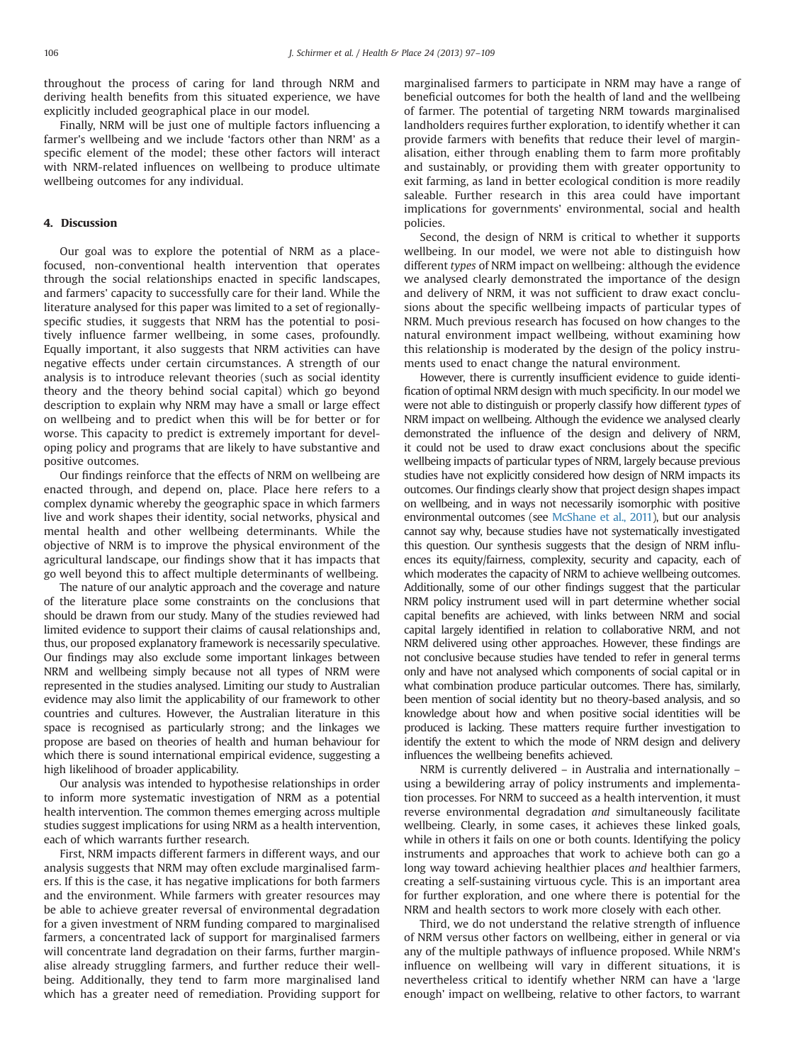throughout the process of caring for land through NRM and deriving health benefits from this situated experience, we have explicitly included geographical place in our model.

Finally, NRM will be just one of multiple factors influencing a farmer's wellbeing and we include 'factors other than NRM' as a specific element of the model; these other factors will interact with NRM-related influences on wellbeing to produce ultimate wellbeing outcomes for any individual.

## 4. Discussion

Our goal was to explore the potential of NRM as a placefocused, non-conventional health intervention that operates through the social relationships enacted in specific landscapes, and farmers' capacity to successfully care for their land. While the literature analysed for this paper was limited to a set of regionallyspecific studies, it suggests that NRM has the potential to positively influence farmer wellbeing, in some cases, profoundly. Equally important, it also suggests that NRM activities can have negative effects under certain circumstances. A strength of our analysis is to introduce relevant theories (such as social identity theory and the theory behind social capital) which go beyond description to explain why NRM may have a small or large effect on wellbeing and to predict when this will be for better or for worse. This capacity to predict is extremely important for developing policy and programs that are likely to have substantive and positive outcomes.

Our findings reinforce that the effects of NRM on wellbeing are enacted through, and depend on, place. Place here refers to a complex dynamic whereby the geographic space in which farmers live and work shapes their identity, social networks, physical and mental health and other wellbeing determinants. While the objective of NRM is to improve the physical environment of the agricultural landscape, our findings show that it has impacts that go well beyond this to affect multiple determinants of wellbeing.

The nature of our analytic approach and the coverage and nature of the literature place some constraints on the conclusions that should be drawn from our study. Many of the studies reviewed had limited evidence to support their claims of causal relationships and, thus, our proposed explanatory framework is necessarily speculative. Our findings may also exclude some important linkages between NRM and wellbeing simply because not all types of NRM were represented in the studies analysed. Limiting our study to Australian evidence may also limit the applicability of our framework to other countries and cultures. However, the Australian literature in this space is recognised as particularly strong; and the linkages we propose are based on theories of health and human behaviour for which there is sound international empirical evidence, suggesting a high likelihood of broader applicability.

Our analysis was intended to hypothesise relationships in order to inform more systematic investigation of NRM as a potential health intervention. The common themes emerging across multiple studies suggest implications for using NRM as a health intervention, each of which warrants further research.

First, NRM impacts different farmers in different ways, and our analysis suggests that NRM may often exclude marginalised farmers. If this is the case, it has negative implications for both farmers and the environment. While farmers with greater resources may be able to achieve greater reversal of environmental degradation for a given investment of NRM funding compared to marginalised farmers, a concentrated lack of support for marginalised farmers will concentrate land degradation on their farms, further marginalise already struggling farmers, and further reduce their wellbeing. Additionally, they tend to farm more marginalised land which has a greater need of remediation. Providing support for

marginalised farmers to participate in NRM may have a range of beneficial outcomes for both the health of land and the wellbeing of farmer. The potential of targeting NRM towards marginalised landholders requires further exploration, to identify whether it can provide farmers with benefits that reduce their level of marginalisation, either through enabling them to farm more profitably and sustainably, or providing them with greater opportunity to exit farming, as land in better ecological condition is more readily saleable. Further research in this area could have important implications for governments' environmental, social and health policies.

Second, the design of NRM is critical to whether it supports wellbeing. In our model, we were not able to distinguish how different types of NRM impact on wellbeing: although the evidence we analysed clearly demonstrated the importance of the design and delivery of NRM, it was not sufficient to draw exact conclusions about the specific wellbeing impacts of particular types of NRM. Much previous research has focused on how changes to the natural environment impact wellbeing, without examining how this relationship is moderated by the design of the policy instruments used to enact change the natural environment.

However, there is currently insufficient evidence to guide identification of optimal NRM design with much specificity. In our model we were not able to distinguish or properly classify how different types of NRM impact on wellbeing. Although the evidence we analysed clearly demonstrated the influence of the design and delivery of NRM, it could not be used to draw exact conclusions about the specific wellbeing impacts of particular types of NRM, largely because previous studies have not explicitly considered how design of NRM impacts its outcomes. Our findings clearly show that project design shapes impact on wellbeing, and in ways not necessarily isomorphic with positive environmental outcomes (see [McShane et al., 2011](#page-11-0)), but our analysis cannot say why, because studies have not systematically investigated this question. Our synthesis suggests that the design of NRM influences its equity/fairness, complexity, security and capacity, each of which moderates the capacity of NRM to achieve wellbeing outcomes. Additionally, some of our other findings suggest that the particular NRM policy instrument used will in part determine whether social capital benefits are achieved, with links between NRM and social capital largely identified in relation to collaborative NRM, and not NRM delivered using other approaches. However, these findings are not conclusive because studies have tended to refer in general terms only and have not analysed which components of social capital or in what combination produce particular outcomes. There has, similarly, been mention of social identity but no theory-based analysis, and so knowledge about how and when positive social identities will be produced is lacking. These matters require further investigation to identify the extent to which the mode of NRM design and delivery influences the wellbeing benefits achieved.

NRM is currently delivered – in Australia and internationally – using a bewildering array of policy instruments and implementation processes. For NRM to succeed as a health intervention, it must reverse environmental degradation and simultaneously facilitate wellbeing. Clearly, in some cases, it achieves these linked goals, while in others it fails on one or both counts. Identifying the policy instruments and approaches that work to achieve both can go a long way toward achieving healthier places and healthier farmers, creating a self-sustaining virtuous cycle. This is an important area for further exploration, and one where there is potential for the NRM and health sectors to work more closely with each other.

Third, we do not understand the relative strength of influence of NRM versus other factors on wellbeing, either in general or via any of the multiple pathways of influence proposed. While NRM's influence on wellbeing will vary in different situations, it is nevertheless critical to identify whether NRM can have a 'large enough' impact on wellbeing, relative to other factors, to warrant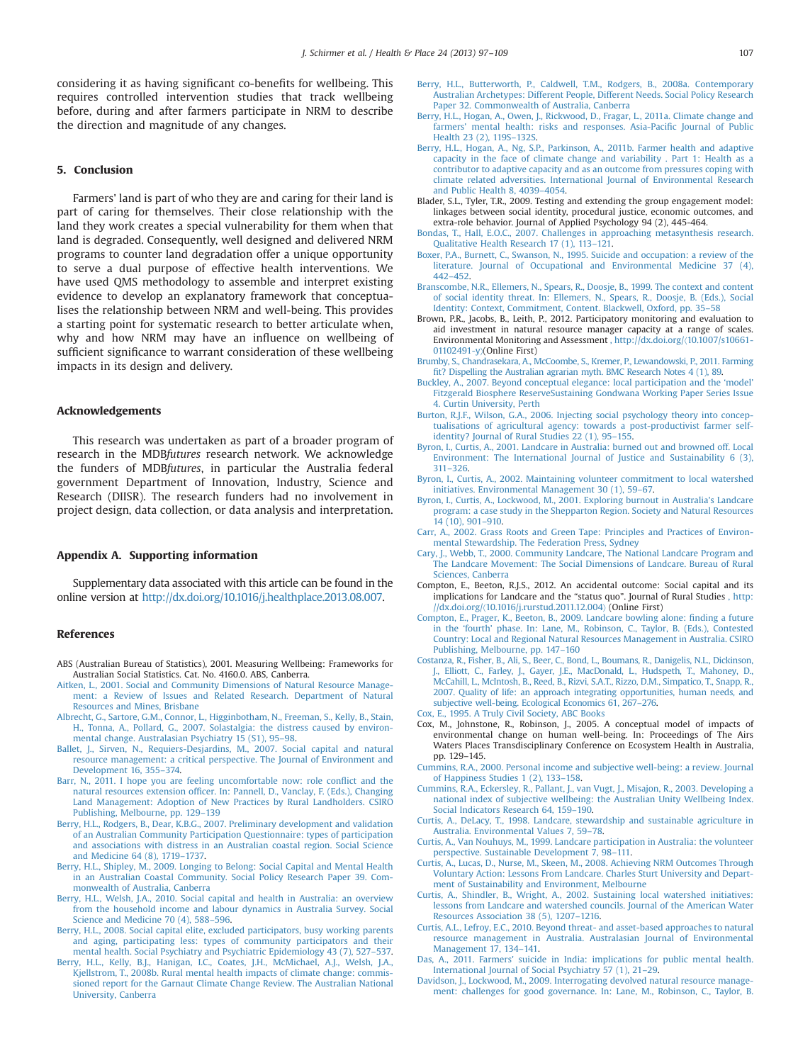<span id="page-10-0"></span>considering it as having significant co-benefits for wellbeing. This requires controlled intervention studies that track wellbeing before, during and after farmers participate in NRM to describe the direction and magnitude of any changes.

## 5. Conclusion

Farmers' land is part of who they are and caring for their land is part of caring for themselves. Their close relationship with the land they work creates a special vulnerability for them when that land is degraded. Consequently, well designed and delivered NRM programs to counter land degradation offer a unique opportunity to serve a dual purpose of effective health interventions. We have used QMS methodology to assemble and interpret existing evidence to develop an explanatory framework that conceptualises the relationship between NRM and well-being. This provides a starting point for systematic research to better articulate when, why and how NRM may have an influence on wellbeing of sufficient significance to warrant consideration of these wellbeing impacts in its design and delivery.

## Acknowledgements

This research was undertaken as part of a broader program of research in the MDBfutures research network. We acknowledge the funders of MDBfutures, in particular the Australia federal government Department of Innovation, Industry, Science and Research (DIISR). The research funders had no involvement in project design, data collection, or data analysis and interpretation.

## Appendix A. Supporting information

Supplementary data associated with this article can be found in the online version at <http://dx.doi.org/10.1016/j.healthplace.2013.08.007>.

#### References

- ABS (Australian Bureau of Statistics), 2001. Measuring Wellbeing: Frameworks for Australian Social Statistics. Cat. No. 4160.0. ABS, Canberra.
- [Aitken, L., 2001. Social and Community Dimensions of Natural Resource Manage](http://refhub.elsevier.com/S1353-8292(13)00112-3/sbref1)[ment: a Review of Issues and Related Research. Department of Natural](http://refhub.elsevier.com/S1353-8292(13)00112-3/sbref1) [Resources and Mines, Brisbane](http://refhub.elsevier.com/S1353-8292(13)00112-3/sbref1)
- [Albrecht, G., Sartore, G.M., Connor, L., Higginbotham, N., Freeman, S., Kelly, B., Stain,](http://refhub.elsevier.com/S1353-8292(13)00112-3/sbref2) [H., Tonna, A., Pollard, G., 2007. Solastalgia: the distress caused by environ](http://refhub.elsevier.com/S1353-8292(13)00112-3/sbref2)[mental change. Australasian Psychiatry 15 \(S1\), 95](http://refhub.elsevier.com/S1353-8292(13)00112-3/sbref2)–98.
- [Ballet, J., Sirven, N., Requiers-Desjardins, M., 2007. Social capital and natural](http://refhub.elsevier.com/S1353-8292(13)00112-3/sbref3) [resource management: a critical perspective. The Journal of Environment and](http://refhub.elsevier.com/S1353-8292(13)00112-3/sbref3) [Development 16, 355](http://refhub.elsevier.com/S1353-8292(13)00112-3/sbref3)–374.
- [Barr, N., 2011. I hope you are feeling uncomfortable now: role con](http://refhub.elsevier.com/S1353-8292(13)00112-3/sbref4)flict and the natural resources extension offi[cer. In: Pannell, D., Vanclay, F. \(Eds.\), Changing](http://refhub.elsevier.com/S1353-8292(13)00112-3/sbref4) [Land Management: Adoption of New Practices by Rural Landholders. CSIRO](http://refhub.elsevier.com/S1353-8292(13)00112-3/sbref4) [Publishing, Melbourne, pp. 129](http://refhub.elsevier.com/S1353-8292(13)00112-3/sbref4)–139
- [Berry, H.L., Rodgers, B., Dear, K.B.G., 2007. Preliminary development and validation](http://refhub.elsevier.com/S1353-8292(13)00112-3/sbref5) [of an Australian Community Participation Questionnaire: types of participation](http://refhub.elsevier.com/S1353-8292(13)00112-3/sbref5) [and associations with distress in an Australian coastal region. Social Science](http://refhub.elsevier.com/S1353-8292(13)00112-3/sbref5) [and Medicine 64 \(8\), 1719](http://refhub.elsevier.com/S1353-8292(13)00112-3/sbref5)–1737.
- [Berry, H.L., Shipley, M., 2009. Longing to Belong: Social Capital and Mental Health](http://refhub.elsevier.com/S1353-8292(13)00112-3/sbref6) [in an Australian Coastal Community. Social Policy Research Paper 39. Com](http://refhub.elsevier.com/S1353-8292(13)00112-3/sbref6)[monwealth of Australia, Canberra](http://refhub.elsevier.com/S1353-8292(13)00112-3/sbref6)
- [Berry, H.L., Welsh, J.A., 2010. Social capital and health in Australia: an overview](http://refhub.elsevier.com/S1353-8292(13)00112-3/sbref7) [from the household income and labour dynamics in Australia Survey. Social](http://refhub.elsevier.com/S1353-8292(13)00112-3/sbref7) [Science and Medicine 70 \(4\), 588](http://refhub.elsevier.com/S1353-8292(13)00112-3/sbref7)–596.
- [Berry, H.L., 2008. Social capital elite, excluded participators, busy working parents](http://refhub.elsevier.com/S1353-8292(13)00112-3/sbref8) [and aging, participating less: types of community participators and their](http://refhub.elsevier.com/S1353-8292(13)00112-3/sbref8) [mental health. Social Psychiatry and Psychiatric Epidemiology 43 \(7\), 527](http://refhub.elsevier.com/S1353-8292(13)00112-3/sbref8)–537.
- [Berry, H.L., Kelly, B.J., Hanigan, I.C., Coates, J.H., McMichael, A.J., Welsh, J.A.,](http://refhub.elsevier.com/S1353-8292(13)00112-3/sbref9) [Kjellstrom, T., 2008b. Rural mental health impacts of climate change: commis](http://refhub.elsevier.com/S1353-8292(13)00112-3/sbref9)[sioned report for the Garnaut Climate Change Review. The Australian National](http://refhub.elsevier.com/S1353-8292(13)00112-3/sbref9) [University, Canberra](http://refhub.elsevier.com/S1353-8292(13)00112-3/sbref9)
- [Berry, H.L., Butterworth, P., Caldwell, T.M., Rodgers, B., 2008a. Contemporary](http://refhub.elsevier.com/S1353-8292(13)00112-3/sbref10) [Australian Archetypes: Different People, Different Needs. Social Policy Research](http://refhub.elsevier.com/S1353-8292(13)00112-3/sbref10) [Paper 32. Commonwealth of Australia, Canberra](http://refhub.elsevier.com/S1353-8292(13)00112-3/sbref10)
- [Berry, H.L., Hogan, A., Owen, J., Rickwood, D., Fragar, L., 2011a. Climate change and](http://refhub.elsevier.com/S1353-8292(13)00112-3/sbref11) farmers' [mental health: risks and responses. Asia-Paci](http://refhub.elsevier.com/S1353-8292(13)00112-3/sbref11)fic Journal of Public [Health 23 \(2\), 119S](http://refhub.elsevier.com/S1353-8292(13)00112-3/sbref11)–132S.
- [Berry, H.L., Hogan, A., Ng, S.P., Parkinson, A., 2011b. Farmer health and adaptive](http://refhub.elsevier.com/S1353-8292(13)00112-3/sbref12) [capacity in the face of climate change and variability . Part 1: Health as a](http://refhub.elsevier.com/S1353-8292(13)00112-3/sbref12) [contributor to adaptive capacity and as an outcome from pressures coping with](http://refhub.elsevier.com/S1353-8292(13)00112-3/sbref12) [climate related adversities. International Journal of Environmental Research](http://refhub.elsevier.com/S1353-8292(13)00112-3/sbref12) [and Public Health 8, 4039](http://refhub.elsevier.com/S1353-8292(13)00112-3/sbref12)–4054.
- Blader, S.L., Tyler, T.R., 2009. Testing and extending the group engagement model: linkages between social identity, procedural justice, economic outcomes, and extra-role behavior. Journal of Applied Psychology 94 (2), 445-464.
- [Bondas, T., Hall, E.O.C., 2007. Challenges in approaching metasynthesis research.](http://refhub.elsevier.com/S1353-8292(13)00112-3/sbref13) [Qualitative Health Research 17 \(1\), 113](http://refhub.elsevier.com/S1353-8292(13)00112-3/sbref13)–121.
- [Boxer, P.A., Burnett, C., Swanson, N., 1995. Suicide and occupation: a review of the](http://refhub.elsevier.com/S1353-8292(13)00112-3/sbref14) [literature. Journal of Occupational and Environmental Medicine 37 \(4\),](http://refhub.elsevier.com/S1353-8292(13)00112-3/sbref14) 442–[452.](http://refhub.elsevier.com/S1353-8292(13)00112-3/sbref14)
- [Branscombe, N.R., Ellemers, N., Spears, R., Doosje, B., 1999. The context and content](http://refhub.elsevier.com/S1353-8292(13)00112-3/sbref15) [of social identity threat. In: Ellemers, N., Spears, R., Doosje, B. \(Eds.\), Social](http://refhub.elsevier.com/S1353-8292(13)00112-3/sbref15) [Identity: Context, Commitment, Content. Blackwell, Oxford, pp. 35](http://refhub.elsevier.com/S1353-8292(13)00112-3/sbref15)–58
- Brown, P.R., Jacobs, B., Leith, P., 2012. Participatory monitoring and evaluation to aid investment in natural resource manager capacity at a range of scales. Environmental Monitoring and Assessment , [http://dx.doi.org/](http://dx.doi.org/10.1007/s10661-01102491-y)〈10.1007/s10661- [01102491-y](http://dx.doi.org/10.1007/s10661-01102491-y)〉(Online First)
- [Brumby, S., Chandrasekara, A., McCoombe, S., Kremer, P., Lewandowski, P., 2011. Farming](http://refhub.elsevier.com/S1353-8292(13)00112-3/sbref17) fi[t? Dispelling the Australian agrarian myth. BMC Research Notes 4 \(1\), 89.](http://refhub.elsevier.com/S1353-8292(13)00112-3/sbref17)
- [Buckley, A., 2007. Beyond conceptual elegance: local participation and the](http://refhub.elsevier.com/S1353-8292(13)00112-3/sbref18) 'model' [Fitzgerald Biosphere ReserveSustaining Gondwana Working Paper Series Issue](http://refhub.elsevier.com/S1353-8292(13)00112-3/sbref18) [4. Curtin University, Perth](http://refhub.elsevier.com/S1353-8292(13)00112-3/sbref18)
- [Burton, R.J.F., Wilson, G.A., 2006. Injecting social psychology theory into concep](http://refhub.elsevier.com/S1353-8292(13)00112-3/sbref19)[tualisations of agricultural agency: towards a post-productivist farmer self](http://refhub.elsevier.com/S1353-8292(13)00112-3/sbref19)[identity? Journal of Rural Studies 22 \(1\), 95](http://refhub.elsevier.com/S1353-8292(13)00112-3/sbref19)–155.
- [Byron, I., Curtis, A., 2001. Landcare in Australia: burned out and browned off. Local](http://refhub.elsevier.com/S1353-8292(13)00112-3/sbref20) [Environment: The International Journal of Justice and Sustainability 6 \(3\),](http://refhub.elsevier.com/S1353-8292(13)00112-3/sbref20) 311–[326.](http://refhub.elsevier.com/S1353-8292(13)00112-3/sbref20)
- [Byron, I., Curtis, A., 2002. Maintaining volunteer commitment to local watershed](http://refhub.elsevier.com/S1353-8292(13)00112-3/sbref21) [initiatives. Environmental Management 30 \(1\), 59](http://refhub.elsevier.com/S1353-8292(13)00112-3/sbref21)–67.
- [Byron, I., Curtis, A., Lockwood, M., 2001. Exploring burnout in Australia's Landcare](http://refhub.elsevier.com/S1353-8292(13)00112-3/sbref22) [program: a case study in the Shepparton Region. Society and Natural Resources](http://refhub.elsevier.com/S1353-8292(13)00112-3/sbref22) [14 \(10\), 901](http://refhub.elsevier.com/S1353-8292(13)00112-3/sbref22)–910.
- [Carr, A., 2002. Grass Roots and Green Tape: Principles and Practices of Environ](http://refhub.elsevier.com/S1353-8292(13)00112-3/sbref23)[mental Stewardship. The Federation Press, Sydney](http://refhub.elsevier.com/S1353-8292(13)00112-3/sbref23)
- [Cary, J., Webb, T., 2000. Community Landcare, The National Landcare Program and](http://refhub.elsevier.com/S1353-8292(13)00112-3/sbref24) [The Landcare Movement: The Social Dimensions of Landcare. Bureau of Rural](http://refhub.elsevier.com/S1353-8292(13)00112-3/sbref24) [Sciences, Canberra](http://refhub.elsevier.com/S1353-8292(13)00112-3/sbref24)
- Compton, E., Beeton, R.J.S., 2012. An accidental outcome: Social capital and its implications for Landcare and the "status quo". Journal of Rural Studies , [http:](http://dx.doi.org/10.1016/j.rurstud.2011.12.004) //dx.doi.org/〈[10.1016/j.rurstud.2011.12.004](http://dx.doi.org/10.1016/j.rurstud.2011.12.004)〉 (Online First)
- [Compton, E., Prager, K., Beeton, B., 2009. Landcare bowling alone:](http://refhub.elsevier.com/S1353-8292(13)00112-3/sbref26) finding a future in the 'fourth' [phase. In: Lane, M., Robinson, C., Taylor, B. \(Eds.\), Contested](http://refhub.elsevier.com/S1353-8292(13)00112-3/sbref26) [Country: Local and Regional Natural Resources Management in Australia. CSIRO](http://refhub.elsevier.com/S1353-8292(13)00112-3/sbref26) [Publishing, Melbourne, pp. 147](http://refhub.elsevier.com/S1353-8292(13)00112-3/sbref26)–160
- [Costanza, R., Fisher, B., Ali, S., Beer, C., Bond, L., Boumans, R., Danigelis, N.L., Dickinson,](http://refhub.elsevier.com/S1353-8292(13)00112-3/sbref27) [J., Elliott, C., Farley, J., Gayer, J.E., MacDonald, L., Hudspeth, T., Mahoney, D.,](http://refhub.elsevier.com/S1353-8292(13)00112-3/sbref27) [McCahill, L., McIntosh, B., Reed, B., Rizvi, S.A.T., Rizzo, D.M., Simpatico, T., Snapp, R.,](http://refhub.elsevier.com/S1353-8292(13)00112-3/sbref27) [2007. Quality of life: an approach integrating opportunities, human needs, and](http://refhub.elsevier.com/S1353-8292(13)00112-3/sbref27) [subjective well-being. Ecological Economics 61, 267](http://refhub.elsevier.com/S1353-8292(13)00112-3/sbref27)–276.
- [Cox, E., 1995. A Truly Civil Society, ABC Books](http://refhub.elsevier.com/S1353-8292(13)00112-3/sbref28)
- Cox, M., Johnstone, R., Robinson, J., 2005. A conceptual model of impacts of environmental change on human well-being. In: Proceedings of The Airs Waters Places Transdisciplinary Conference on Ecosystem Health in Australia, pp. 129–145.
- [Cummins, R.A., 2000. Personal income and subjective well-being: a review. Journal](http://refhub.elsevier.com/S1353-8292(13)00112-3/sbref29) [of Happiness Studies 1 \(2\), 133](http://refhub.elsevier.com/S1353-8292(13)00112-3/sbref29)–158.
- [Cummins, R.A., Eckersley, R., Pallant, J., van Vugt, J., Misajon, R., 2003. Developing a](http://refhub.elsevier.com/S1353-8292(13)00112-3/sbref30) [national index of subjective wellbeing: the Australian Unity Wellbeing Index.](http://refhub.elsevier.com/S1353-8292(13)00112-3/sbref30) [Social Indicators Research 64, 159](http://refhub.elsevier.com/S1353-8292(13)00112-3/sbref30)–190.
- [Curtis, A., DeLacy, T., 1998. Landcare, stewardship and sustainable agriculture in](http://refhub.elsevier.com/S1353-8292(13)00112-3/sbref31) [Australia. Environmental Values 7, 59](http://refhub.elsevier.com/S1353-8292(13)00112-3/sbref31)–78.
- [Curtis, A., Van Nouhuys, M., 1999. Landcare participation in Australia: the volunteer](http://refhub.elsevier.com/S1353-8292(13)00112-3/sbref32) [perspective. Sustainable Development 7, 98](http://refhub.elsevier.com/S1353-8292(13)00112-3/sbref32)–111.
- [Curtis, A., Lucas, D., Nurse, M., Skeen, M., 2008. Achieving NRM Outcomes Through](http://refhub.elsevier.com/S1353-8292(13)00112-3/sbref33) [Voluntary Action: Lessons From Landcare. Charles Sturt University and Depart](http://refhub.elsevier.com/S1353-8292(13)00112-3/sbref33)[ment of Sustainability and Environment, Melbourne](http://refhub.elsevier.com/S1353-8292(13)00112-3/sbref33)
- [Curtis, A., Shindler, B., Wright, A., 2002. Sustaining local watershed initiatives:](http://refhub.elsevier.com/S1353-8292(13)00112-3/sbref34) [lessons from Landcare and watershed councils. Journal of the American Water](http://refhub.elsevier.com/S1353-8292(13)00112-3/sbref34) [Resources Association 38 \(5\), 1207](http://refhub.elsevier.com/S1353-8292(13)00112-3/sbref34)–1216.
- [Curtis, A.L., Lefroy, E.C., 2010. Beyond threat- and asset-based approaches to natural](http://refhub.elsevier.com/S1353-8292(13)00112-3/sbref35) [resource management in Australia. Australasian Journal of Environmental](http://refhub.elsevier.com/S1353-8292(13)00112-3/sbref35) [Management 17, 134](http://refhub.elsevier.com/S1353-8292(13)00112-3/sbref35)–141.
- [Das, A., 2011. Farmers' suicide in India: implications for public mental health.](http://refhub.elsevier.com/S1353-8292(13)00112-3/sbref36) [International Journal of Social Psychiatry 57 \(1\), 21](http://refhub.elsevier.com/S1353-8292(13)00112-3/sbref36)–29.
- [Davidson, J., Lockwood, M., 2009. Interrogating devolved natural resource manage](http://refhub.elsevier.com/S1353-8292(13)00112-3/sbref37)[ment: challenges for good governance. In: Lane, M., Robinson, C., Taylor, B.](http://refhub.elsevier.com/S1353-8292(13)00112-3/sbref37)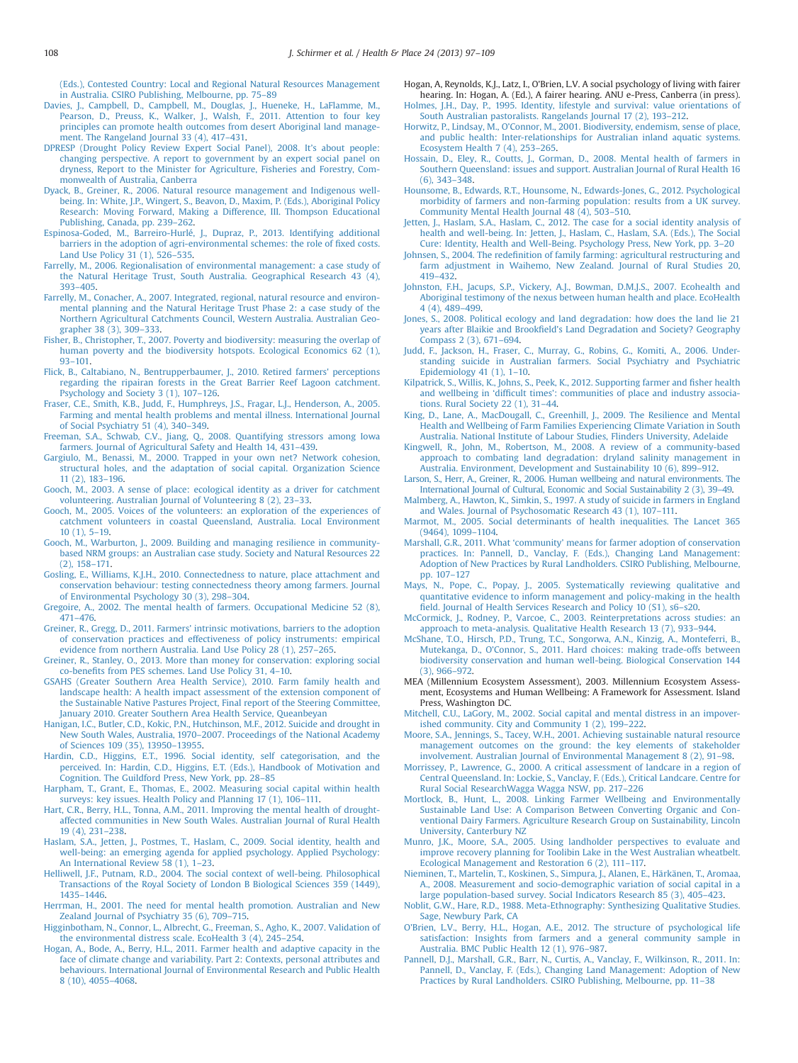<span id="page-11-0"></span>[\(Eds.\), Contested Country: Local and Regional Natural Resources Management](http://refhub.elsevier.com/S1353-8292(13)00112-3/sbref37) [in Australia. CSIRO Publishing, Melbourne, pp. 75](http://refhub.elsevier.com/S1353-8292(13)00112-3/sbref37)–89

- [Davies, J., Campbell, D., Campbell, M., Douglas, J., Hueneke, H., LaFlamme, M.,](http://refhub.elsevier.com/S1353-8292(13)00112-3/sbref38) [Pearson, D., Preuss, K., Walker, J., Walsh, F., 2011. Attention to four key](http://refhub.elsevier.com/S1353-8292(13)00112-3/sbref38) [principles can promote health outcomes from desert Aboriginal land manage](http://refhub.elsevier.com/S1353-8292(13)00112-3/sbref38)[ment. The Rangeland Journal 33 \(4\), 417](http://refhub.elsevier.com/S1353-8292(13)00112-3/sbref38)–431.
- [DPRESP \(Drought Policy Review Expert Social Panel\), 2008. It](http://refhub.elsevier.com/S1353-8292(13)00112-3/sbref39)'s about people: [changing perspective. A report to government by an expert social panel on](http://refhub.elsevier.com/S1353-8292(13)00112-3/sbref39) [dryness, Report to the Minister for Agriculture, Fisheries and Forestry, Com](http://refhub.elsevier.com/S1353-8292(13)00112-3/sbref39)[monwealth of Australia, Canberra](http://refhub.elsevier.com/S1353-8292(13)00112-3/sbref39)
- [Dyack, B., Greiner, R., 2006. Natural resource management and Indigenous well](http://refhub.elsevier.com/S1353-8292(13)00112-3/sbref40)[being. In: White, J.P., Wingert, S., Beavon, D., Maxim, P. \(Eds.\), Aboriginal Policy](http://refhub.elsevier.com/S1353-8292(13)00112-3/sbref40) [Research: Moving Forward, Making a Difference, III. Thompson Educational](http://refhub.elsevier.com/S1353-8292(13)00112-3/sbref40) [Publishing, Canada, pp. 239](http://refhub.elsevier.com/S1353-8292(13)00112-3/sbref40)–262.
- [Espinosa-Goded, M., Barreiro-Hurlé, J., Dupraz, P., 2013. Identifying additional](http://refhub.elsevier.com/S1353-8292(13)00112-3/sbref41) [barriers in the adoption of agri-environmental schemes: the role of](http://refhub.elsevier.com/S1353-8292(13)00112-3/sbref41) fixed costs. [Land Use Policy 31 \(1\), 526](http://refhub.elsevier.com/S1353-8292(13)00112-3/sbref41)–535.
- [Farrelly, M., 2006. Regionalisation of environmental management: a case study of](http://refhub.elsevier.com/S1353-8292(13)00112-3/sbref42) [the Natural Heritage Trust, South Australia. Geographical Research 43 \(4\),](http://refhub.elsevier.com/S1353-8292(13)00112-3/sbref42) 393–[405.](http://refhub.elsevier.com/S1353-8292(13)00112-3/sbref42)
- [Farrelly, M., Conacher, A., 2007. Integrated, regional, natural resource and environ](http://refhub.elsevier.com/S1353-8292(13)00112-3/sbref43)[mental planning and the Natural Heritage Trust Phase 2: a case study of the](http://refhub.elsevier.com/S1353-8292(13)00112-3/sbref43) [Northern Agricultural Catchments Council, Western Australia. Australian Geo](http://refhub.elsevier.com/S1353-8292(13)00112-3/sbref43)[grapher 38 \(3\), 309](http://refhub.elsevier.com/S1353-8292(13)00112-3/sbref43)–333.
- [Fisher, B., Christopher, T., 2007. Poverty and biodiversity: measuring the overlap of](http://refhub.elsevier.com/S1353-8292(13)00112-3/sbref44) [human poverty and the biodiversity hotspots. Ecological Economics 62 \(1\),](http://refhub.elsevier.com/S1353-8292(13)00112-3/sbref44) 93–[101.](http://refhub.elsevier.com/S1353-8292(13)00112-3/sbref44)
- [Flick, B., Caltabiano, N., Bentrupperbaumer, J., 2010. Retired farmers' perceptions](http://refhub.elsevier.com/S1353-8292(13)00112-3/sbref45) [regarding the ripairan forests in the Great Barrier Reef Lagoon catchment.](http://refhub.elsevier.com/S1353-8292(13)00112-3/sbref45) [Psychology and Society 3 \(1\), 107](http://refhub.elsevier.com/S1353-8292(13)00112-3/sbref45)–126.
- [Fraser, C.E., Smith, K.B., Judd, F., Humphreys, J.S., Fragar, L.J., Henderson, A., 2005.](http://refhub.elsevier.com/S1353-8292(13)00112-3/sbref46) [Farming and mental health problems and mental illness. International Journal](http://refhub.elsevier.com/S1353-8292(13)00112-3/sbref46) [of Social Psychiatry 51 \(4\), 340](http://refhub.elsevier.com/S1353-8292(13)00112-3/sbref46)–349.
- [Freeman, S.A., Schwab, C.V., Jiang, Q., 2008. Quantifying stressors among Iowa](http://refhub.elsevier.com/S1353-8292(13)00112-3/sbref47) [farmers. Journal of Agricultural Safety and Health 14, 431](http://refhub.elsevier.com/S1353-8292(13)00112-3/sbref47)–439.
- [Gargiulo, M., Benassi, M., 2000. Trapped in your own net? Network cohesion,](http://refhub.elsevier.com/S1353-8292(13)00112-3/sbref48) [structural holes, and the adaptation of social capital. Organization Science](http://refhub.elsevier.com/S1353-8292(13)00112-3/sbref48) [11 \(2\), 183](http://refhub.elsevier.com/S1353-8292(13)00112-3/sbref48)–196.
- [Gooch, M., 2003. A sense of place: ecological identity as a driver for catchment](http://refhub.elsevier.com/S1353-8292(13)00112-3/sbref49) [volunteering. Australian Journal of Volunteering 8 \(2\), 23](http://refhub.elsevier.com/S1353-8292(13)00112-3/sbref49)-33.
- [Gooch, M., 2005. Voices of the volunteers: an exploration of the experiences of](http://refhub.elsevier.com/S1353-8292(13)00112-3/sbref50) [catchment volunteers in coastal Queensland, Australia. Local Environment](http://refhub.elsevier.com/S1353-8292(13)00112-3/sbref50)  $10(1)$ , 5–19.
- [Gooch, M., Warburton, J., 2009. Building and managing resilience in community](http://refhub.elsevier.com/S1353-8292(13)00112-3/sbref51)[based NRM groups: an Australian case study. Society and Natural Resources 22](http://refhub.elsevier.com/S1353-8292(13)00112-3/sbref51) [\(2\), 158](http://refhub.elsevier.com/S1353-8292(13)00112-3/sbref51)–171.
- [Gosling, E., Williams, K.J.H., 2010. Connectedness to nature, place attachment and](http://refhub.elsevier.com/S1353-8292(13)00112-3/sbref52) [conservation behaviour: testing connectedness theory among farmers. Journal](http://refhub.elsevier.com/S1353-8292(13)00112-3/sbref52) [of Environmental Psychology 30 \(3\), 298](http://refhub.elsevier.com/S1353-8292(13)00112-3/sbref52)–304.
- [Gregoire, A., 2002. The mental health of farmers. Occupational Medicine 52 \(8\),](http://refhub.elsevier.com/S1353-8292(13)00112-3/sbref53) 471–[476.](http://refhub.elsevier.com/S1353-8292(13)00112-3/sbref53)
- Greiner, R., Gregg, D., 2011. Farmers' [intrinsic motivations, barriers to the adoption](http://refhub.elsevier.com/S1353-8292(13)00112-3/sbref54) [of conservation practices and effectiveness of policy instruments: empirical](http://refhub.elsevier.com/S1353-8292(13)00112-3/sbref54) [evidence from northern Australia. Land Use Policy 28 \(1\), 257](http://refhub.elsevier.com/S1353-8292(13)00112-3/sbref54)–265.
- [Greiner, R., Stanley, O., 2013. More than money for conservation: exploring social](http://refhub.elsevier.com/S1353-8292(13)00112-3/sbref55) co-benefi[ts from PES schemes. Land Use Policy 31, 4](http://refhub.elsevier.com/S1353-8292(13)00112-3/sbref55)–10.
- [GSAHS \(Greater Southern Area Health Service\), 2010. Farm family health and](http://refhub.elsevier.com/S1353-8292(13)00112-3/sbref56) [landscape health: A health impact assessment of the extension component of](http://refhub.elsevier.com/S1353-8292(13)00112-3/sbref56) [the Sustainable Native Pastures Project, Final report of the Steering Committee,](http://refhub.elsevier.com/S1353-8292(13)00112-3/sbref56) [January 2010. Greater Southern Area Health Service, Queanbeyan](http://refhub.elsevier.com/S1353-8292(13)00112-3/sbref56)
- [Hanigan, I.C., Butler, C.D., Kokic, P.N., Hutchinson, M.F., 2012. Suicide and drought in](http://refhub.elsevier.com/S1353-8292(13)00112-3/sbref57) New South Wales, Australia, 1970–[2007. Proceedings of the National Academy](http://refhub.elsevier.com/S1353-8292(13)00112-3/sbref57) [of Sciences 109 \(35\), 13950](http://refhub.elsevier.com/S1353-8292(13)00112-3/sbref57)–13955.
- [Hardin, C.D., Higgins, E.T., 1996. Social identity, self categorisation, and the](http://refhub.elsevier.com/S1353-8292(13)00112-3/sbref58) [perceived. In: Hardin, C.D., Higgins, E.T. \(Eds.\), Handbook of Motivation and](http://refhub.elsevier.com/S1353-8292(13)00112-3/sbref58) [Cognition. The Guildford Press, New York, pp. 28](http://refhub.elsevier.com/S1353-8292(13)00112-3/sbref58)–85
- [Harpham, T., Grant, E., Thomas, E., 2002. Measuring social capital within health](http://refhub.elsevier.com/S1353-8292(13)00112-3/sbref59) [surveys: key issues. Health Policy and Planning 17 \(1\), 106](http://refhub.elsevier.com/S1353-8292(13)00112-3/sbref59)–111.
- [Hart, C.R., Berry, H.L., Tonna, A.M., 2011. Improving the mental health of drought](http://refhub.elsevier.com/S1353-8292(13)00112-3/sbref60)[affected communities in New South Wales. Australian Journal of Rural Health](http://refhub.elsevier.com/S1353-8292(13)00112-3/sbref60) [19 \(4\), 231](http://refhub.elsevier.com/S1353-8292(13)00112-3/sbref60)–238.
- [Haslam, S.A., Jetten, J., Postmes, T., Haslam, C., 2009. Social identity, health and](http://refhub.elsevier.com/S1353-8292(13)00112-3/sbref61) [well-being: an emerging agenda for applied psychology. Applied Psychology:](http://refhub.elsevier.com/S1353-8292(13)00112-3/sbref61) [An International Review 58 \(1\), 1](http://refhub.elsevier.com/S1353-8292(13)00112-3/sbref61)–23.
- [Helliwell, J.F., Putnam, R.D., 2004. The social context of well-being. Philosophical](http://refhub.elsevier.com/S1353-8292(13)00112-3/sbref62) [Transactions of the Royal Society of London B Biological Sciences 359 \(1449\),](http://refhub.elsevier.com/S1353-8292(13)00112-3/sbref62) 1435–[1446.](http://refhub.elsevier.com/S1353-8292(13)00112-3/sbref62)
- [Herrman, H., 2001. The need for mental health promotion. Australian and New](http://refhub.elsevier.com/S1353-8292(13)00112-3/sbref63) [Zealand Journal of Psychiatry 35 \(6\), 709](http://refhub.elsevier.com/S1353-8292(13)00112-3/sbref63)–715.
- [Higginbotham, N., Connor, L., Albrecht, G., Freeman, S., Agho, K., 2007. Validation of](http://refhub.elsevier.com/S1353-8292(13)00112-3/sbref64) [the environmental distress scale. EcoHealth 3 \(4\), 245](http://refhub.elsevier.com/S1353-8292(13)00112-3/sbref64)–254.
- [Hogan, A., Bode, A., Berry, H.L., 2011. Farmer health and adaptive capacity in the](http://refhub.elsevier.com/S1353-8292(13)00112-3/sbref65) [face of climate change and variability. Part 2: Contexts, personal attributes and](http://refhub.elsevier.com/S1353-8292(13)00112-3/sbref65) [behaviours. International Journal of Environmental Research and Public Health](http://refhub.elsevier.com/S1353-8292(13)00112-3/sbref65) [8 \(10\), 4055](http://refhub.elsevier.com/S1353-8292(13)00112-3/sbref65)–4068.
- Hogan, A, Reynolds, K.J., Latz, I., O'Brien, L.V. A social psychology of living with fairer hearing. In: Hogan, A. (Ed.), A fairer hearing. ANU e-Press, Canberra (in press). [Holmes, J.H., Day, P., 1995. Identity, lifestyle and survival: value orientations of](http://refhub.elsevier.com/S1353-8292(13)00112-3/sbref66)
- [South Australian pastoralists. Rangelands Journal 17 \(2\), 193](http://refhub.elsevier.com/S1353-8292(13)00112-3/sbref66)–212. Horwitz, P., Lindsay, M., O'[Connor, M., 2001. Biodiversity, endemism, sense of place,](http://refhub.elsevier.com/S1353-8292(13)00112-3/sbref67)
- [and public health: Inter-relationships for Australian inland aquatic systems.](http://refhub.elsevier.com/S1353-8292(13)00112-3/sbref67) [Ecosystem Health 7 \(4\), 253](http://refhub.elsevier.com/S1353-8292(13)00112-3/sbref67)–265.
- [Hossain, D., Eley, R., Coutts, J., Gorman, D., 2008. Mental health of farmers in](http://refhub.elsevier.com/S1353-8292(13)00112-3/sbref68) [Southern Queensland: issues and support. Australian Journal of Rural Health 16](http://refhub.elsevier.com/S1353-8292(13)00112-3/sbref68) [\(6\), 343](http://refhub.elsevier.com/S1353-8292(13)00112-3/sbref68)–348.
- [Hounsome, B., Edwards, R.T., Hounsome, N., Edwards-Jones, G., 2012. Psychological](http://refhub.elsevier.com/S1353-8292(13)00112-3/sbref69) [morbidity of farmers and non-farming population: results from a UK survey.](http://refhub.elsevier.com/S1353-8292(13)00112-3/sbref69) [Community Mental Health Journal 48 \(4\), 503](http://refhub.elsevier.com/S1353-8292(13)00112-3/sbref69)–510.
- [Jetten, J., Haslam, S.A., Haslam, C., 2012. The case for a social identity analysis of](http://refhub.elsevier.com/S1353-8292(13)00112-3/sbref70) [health and well-being. In: Jetten, J., Haslam, C., Haslam, S.A. \(Eds.\), The Social](http://refhub.elsevier.com/S1353-8292(13)00112-3/sbref70) [Cure: Identity, Health and Well-Being. Psychology Press, New York, pp. 3](http://refhub.elsevier.com/S1353-8292(13)00112-3/sbref70)–20
- Johnsen, S., 2004. The redefi[nition of family farming: agricultural restructuring and](http://refhub.elsevier.com/S1353-8292(13)00112-3/sbref71) [farm adjustment in Waihemo, New Zealand. Journal of Rural Studies 20,](http://refhub.elsevier.com/S1353-8292(13)00112-3/sbref71) 419–[432.](http://refhub.elsevier.com/S1353-8292(13)00112-3/sbref71)
- [Johnston, F.H., Jacups, S.P., Vickery, A.J., Bowman, D.M.J.S., 2007. Ecohealth and](http://refhub.elsevier.com/S1353-8292(13)00112-3/sbref72) [Aboriginal testimony of the nexus between human health and place. EcoHealth](http://refhub.elsevier.com/S1353-8292(13)00112-3/sbref72) [4 \(4\), 489](http://refhub.elsevier.com/S1353-8292(13)00112-3/sbref72)–499.
- [Jones, S., 2008. Political ecology and land degradation: how does the land lie 21](http://refhub.elsevier.com/S1353-8292(13)00112-3/sbref73) years after Blaikie and Brookfi[eld's Land Degradation and Society? Geography](http://refhub.elsevier.com/S1353-8292(13)00112-3/sbref73) [Compass 2 \(3\), 671](http://refhub.elsevier.com/S1353-8292(13)00112-3/sbref73)–694.
- [Judd, F., Jackson, H., Fraser, C., Murray, G., Robins, G., Komiti, A., 2006. Under](http://refhub.elsevier.com/S1353-8292(13)00112-3/sbref74)[standing suicide in Australian farmers. Social Psychiatry and Psychiatric](http://refhub.elsevier.com/S1353-8292(13)00112-3/sbref74) Epidemiology 41 $(1)$ , 1-10.
- [Kilpatrick, S., Willis, K., Johns, S., Peek, K., 2012. Supporting farmer and](http://refhub.elsevier.com/S1353-8292(13)00112-3/sbref75) fisher health and wellbeing in 'difficult times'[: communities of place and industry associa](http://refhub.elsevier.com/S1353-8292(13)00112-3/sbref75)[tions. Rural Society 22 \(1\), 31](http://refhub.elsevier.com/S1353-8292(13)00112-3/sbref75)–44.
- [King, D., Lane, A., MacDougall, C., Greenhill, J., 2009. The Resilience and Mental](http://refhub.elsevier.com/S1353-8292(13)00112-3/sbref76) [Health and Wellbeing of Farm Families Experiencing Climate Variation in South](http://refhub.elsevier.com/S1353-8292(13)00112-3/sbref76) [Australia. National Institute of Labour Studies, Flinders University, Adelaide](http://refhub.elsevier.com/S1353-8292(13)00112-3/sbref76)
- [Kingwell, R., John, M., Robertson, M., 2008. A review of a community-based](http://refhub.elsevier.com/S1353-8292(13)00112-3/sbref77) [approach to combating land degradation: dryland salinity management in](http://refhub.elsevier.com/S1353-8292(13)00112-3/sbref77) [Australia. Environment, Development and Sustainability 10 \(6\), 899](http://refhub.elsevier.com/S1353-8292(13)00112-3/sbref77)–912.
- [Larson, S., Herr, A., Greiner, R., 2006. Human wellbeing and natural environments. The](http://refhub.elsevier.com/S1353-8292(13)00112-3/sbref78) [International Journal of Cultural, Economic and Social Sustainability 2 \(3\), 39](http://refhub.elsevier.com/S1353-8292(13)00112-3/sbref78)–49.
- [Malmberg, A., Hawton, K., Simkin, S., 1997. A study of suicide in farmers in England](http://refhub.elsevier.com/S1353-8292(13)00112-3/sbref79) [and Wales. Journal of Psychosomatic Research 43 \(1\), 107](http://refhub.elsevier.com/S1353-8292(13)00112-3/sbref79)–111.
- [Marmot, M., 2005. Social determinants of health inequalities. The Lancet 365](http://refhub.elsevier.com/S1353-8292(13)00112-3/sbref80) [\(9464\), 1099](http://refhub.elsevier.com/S1353-8292(13)00112-3/sbref80)–1104.
- Marshall, G.R., 2011. What 'community' [means for farmer adoption of conservation](http://refhub.elsevier.com/S1353-8292(13)00112-3/sbref81) [practices. In: Pannell, D., Vanclay, F. \(Eds.\), Changing Land Management:](http://refhub.elsevier.com/S1353-8292(13)00112-3/sbref81) [Adoption of New Practices by Rural Landholders. CSIRO Publishing, Melbourne,](http://refhub.elsevier.com/S1353-8292(13)00112-3/sbref81) [pp. 107](http://refhub.elsevier.com/S1353-8292(13)00112-3/sbref81)–127
- [Mays, N., Pope, C., Popay, J., 2005. Systematically reviewing qualitative and](http://refhub.elsevier.com/S1353-8292(13)00112-3/sbref82) [quantitative evidence to inform management and policy-making in the health](http://refhub.elsevier.com/S1353-8292(13)00112-3/sbref82) fi[eld. Journal of Health Services Research and Policy 10 \(S1\), s6](http://refhub.elsevier.com/S1353-8292(13)00112-3/sbref82)–s20.
- [McCormick, J., Rodney, P., Varcoe, C., 2003. Reinterpretations across studies: an](http://refhub.elsevier.com/S1353-8292(13)00112-3/sbref83) [approach to meta-analysis. Qualitative Health Research 13 \(7\), 933](http://refhub.elsevier.com/S1353-8292(13)00112-3/sbref83)–944.
- [McShane, T.O., Hirsch, P.D., Trung, T.C., Songorwa, A.N., Kinzig, A., Monteferri, B.,](http://refhub.elsevier.com/S1353-8292(13)00112-3/sbref84) Mutekanga, D., O'[Connor, S., 2011. Hard choices: making trade-offs between](http://refhub.elsevier.com/S1353-8292(13)00112-3/sbref84) [biodiversity conservation and human well-being. Biological Conservation 144](http://refhub.elsevier.com/S1353-8292(13)00112-3/sbref84) [\(3\), 966](http://refhub.elsevier.com/S1353-8292(13)00112-3/sbref84)–972.
- MEA (Millennium Ecosystem Assessment), 2003. Millennium Ecosystem Assessment, Ecosystems and Human Wellbeing: A Framework for Assessment. Island Press, Washington DC.
- [Mitchell, C.U., LaGory, M., 2002. Social capital and mental distress in an impover](http://refhub.elsevier.com/S1353-8292(13)00112-3/sbref85)[ished community. City and Community 1 \(2\), 199](http://refhub.elsevier.com/S1353-8292(13)00112-3/sbref85)–222.
- [Moore, S.A., Jennings, S., Tacey, W.H., 2001. Achieving sustainable natural resource](http://refhub.elsevier.com/S1353-8292(13)00112-3/sbref86) [management outcomes on the ground: the key elements of stakeholder](http://refhub.elsevier.com/S1353-8292(13)00112-3/sbref86) [involvement. Australian Journal of Environmental Management 8 \(2\), 91](http://refhub.elsevier.com/S1353-8292(13)00112-3/sbref86)–98.
- [Morrissey, P., Lawrence, G., 2000. A critical assessment of landcare in a region of](http://refhub.elsevier.com/S1353-8292(13)00112-3/sbref87) [Central Queensland. In: Lockie, S., Vanclay, F. \(Eds.\), Critical Landcare. Centre for](http://refhub.elsevier.com/S1353-8292(13)00112-3/sbref87) [Rural Social ResearchWagga Wagga NSW, pp. 217](http://refhub.elsevier.com/S1353-8292(13)00112-3/sbref87)–226
- [Mortlock, B., Hunt, L., 2008. Linking Farmer Wellbeing and Environmentally](http://refhub.elsevier.com/S1353-8292(13)00112-3/sbref88) [Sustainable Land Use: A Comparison Between Converting Organic and Con](http://refhub.elsevier.com/S1353-8292(13)00112-3/sbref88)[ventional Dairy Farmers. Agriculture Research Group on Sustainability, Lincoln](http://refhub.elsevier.com/S1353-8292(13)00112-3/sbref88) [University, Canterbury NZ](http://refhub.elsevier.com/S1353-8292(13)00112-3/sbref88)
- [Munro, J.K., Moore, S.A., 2005. Using landholder perspectives to evaluate and](http://refhub.elsevier.com/S1353-8292(13)00112-3/sbref89) [improve recovery planning for Toolibin Lake in the West Australian wheatbelt.](http://refhub.elsevier.com/S1353-8292(13)00112-3/sbref89) [Ecological Management and Restoration 6 \(2\), 111](http://refhub.elsevier.com/S1353-8292(13)00112-3/sbref89)–117.
- [Nieminen, T., Martelin, T., Koskinen, S., Simpura, J., Alanen, E., Härkänen, T., Aromaa,](http://refhub.elsevier.com/S1353-8292(13)00112-3/sbref90) [A., 2008. Measurement and socio-demographic variation of social capital in a](http://refhub.elsevier.com/S1353-8292(13)00112-3/sbref90) [large population-based survey. Social Indicators Research 85 \(3\), 405](http://refhub.elsevier.com/S1353-8292(13)00112-3/sbref90)–423.
- [Noblit, G.W., Hare, R.D., 1988. Meta-Ethnography: Synthesizing Qualitative Studies.](http://refhub.elsevier.com/S1353-8292(13)00112-3/sbref91) [Sage, Newbury Park, CA](http://refhub.elsevier.com/S1353-8292(13)00112-3/sbref91)
- O'[Brien, L.V., Berry, H.L., Hogan, A.E., 2012. The structure of psychological life](http://refhub.elsevier.com/S1353-8292(13)00112-3/sbref92) [satisfaction: Insights from farmers and a general community sample in](http://refhub.elsevier.com/S1353-8292(13)00112-3/sbref92) [Australia. BMC Public Health 12 \(1\), 976](http://refhub.elsevier.com/S1353-8292(13)00112-3/sbref92)–987.
- [Pannell, D.J., Marshall, G.R., Barr, N., Curtis, A., Vanclay, F., Wilkinson, R., 2011. In:](http://refhub.elsevier.com/S1353-8292(13)00112-3/sbref93) [Pannell, D., Vanclay, F. \(Eds.\), Changing Land Management: Adoption of New](http://refhub.elsevier.com/S1353-8292(13)00112-3/sbref93) [Practices by Rural Landholders. CSIRO Publishing, Melbourne, pp. 11](http://refhub.elsevier.com/S1353-8292(13)00112-3/sbref93)–38